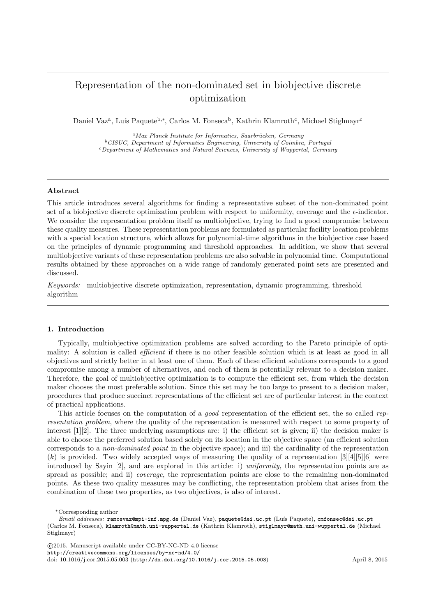# Representation of the non-dominated set in biobjective discrete optimization

Daniel Vaz<sup>a</sup>, Luís Paquete<sup>b,∗</sup>, Carlos M. Fonseca<sup>b</sup>, Kathrin Klamroth<sup>c</sup>, Michael Stiglmayr<sup>c</sup>

 ${}^{a}$ Max Planck Institute for Informatics, Saarbrücken, Germany  $^{b}$ CISUC, Department of Informatics Engineering, University of Coimbra, Portugal <sup>c</sup>Department of Mathematics and Natural Sciences, University of Wuppertal, Germany

## Abstract

This article introduces several algorithms for finding a representative subset of the non-dominated point set of a biobjective discrete optimization problem with respect to uniformity, coverage and the  $\epsilon$ -indicator. We consider the representation problem itself as multiobjective, trying to find a good compromise between these quality measures. These representation problems are formulated as particular facility location problems with a special location structure, which allows for polynomial-time algorithms in the biobjective case based on the principles of dynamic programming and threshold approaches. In addition, we show that several multiobjective variants of these representation problems are also solvable in polynomial time. Computational results obtained by these approaches on a wide range of randomly generated point sets are presented and discussed.

Keywords: multiobjective discrete optimization, representation, dynamic programming, threshold algorithm

## 1. Introduction

Typically, multiobjective optimization problems are solved according to the Pareto principle of optimality: A solution is called *efficient* if there is no other feasible solution which is at least as good in all objectives and strictly better in at least one of them. Each of these efficient solutions corresponds to a good compromise among a number of alternatives, and each of them is potentially relevant to a decision maker. Therefore, the goal of multiobjective optimization is to compute the efficient set, from which the decision maker chooses the most preferable solution. Since this set may be too large to present to a decision maker, procedures that produce succinct representations of the efficient set are of particular interest in the context of practical applications.

This article focuses on the computation of a *good* representation of the efficient set, the so called representation problem, where the quality of the representation is measured with respect to some property of interest [1][2]. The three underlying assumptions are: i) the efficient set is given; ii) the decision maker is able to choose the preferred solution based solely on its location in the objective space (an efficient solution corresponds to a non-dominated point in the objective space); and iii) the cardinality of the representation  $(k)$  is provided. Two widely accepted ways of measuring the quality of a representation [3][4][5][6] were introduced by Sayin [2], and are explored in this article: i) uniformity, the representation points are as spread as possible; and ii) coverage, the representation points are close to the remaining non-dominated points. As these two quality measures may be conflicting, the representation problem that arises from the combination of these two properties, as two objectives, is also of interest.

http://creativecommons.org/licenses/by-nc-nd/4.0/

<sup>∗</sup>Corresponding author

Email addresses: ramosvaz@mpi-inf.mpg.de (Daniel Vaz), paquete@dei.uc.pt (Lu´ıs Paquete), cmfonsec@dei.uc.pt (Carlos M. Fonseca), klamroth@math.uni-wuppertal.de (Kathrin Klamroth), stiglmayr@math.uni-wuppertal.de (Michael Stiglmayr)

c 2015. Manuscript available under CC-BY-NC-ND 4.0 license

doi: 10.1016/j.cor.2015.05.003 (http://dx.doi.org/10.1016/j.cor.2015.05.003) April 8, 2015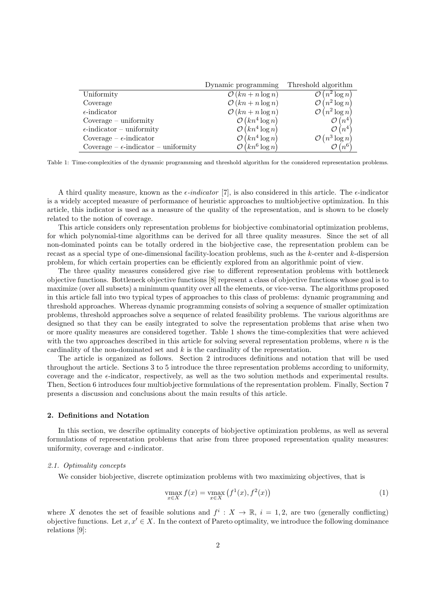|                                               | Dynamic programming          | Threshold algorithm           |
|-----------------------------------------------|------------------------------|-------------------------------|
| Uniformity                                    | $\mathcal{O}(kn + n \log n)$ | $\mathcal{O}(n^2 \log n)$     |
| Coverage                                      | $\mathcal{O}(kn + n \log n)$ | $\mathcal{O}(n^2 \log n)$     |
| $\epsilon$ -indicator                         | $\mathcal{O}(kn + n \log n)$ | $\mathcal{O}(n^2 \log n)$     |
| $\text{Coverage} - \text{uniformity}$         | $\mathcal{O}(kn^4 \log n)$   | $\mathcal{O}(n^4)$            |
| $\epsilon$ -indicator – uniformity            | $\mathcal{O}(kn^4 \log n)$   | $\mathcal{O}(n^4)$            |
| Coverage – $\epsilon$ -indicator              | $\mathcal{O}(kn^4 \log n)$   | $\mathcal{O}(n^3 \log n)$     |
| Coverage – $\epsilon$ -indicator – uniformity | $\mathcal{O}(kn^6 \log n)$   | $\mathcal{O}\left(n^6\right)$ |

Table 1: Time-complexities of the dynamic programming and threshold algorithm for the considered representation problems.

A third quality measure, known as the  $\epsilon$ -indicator [7], is also considered in this article. The  $\epsilon$ -indicator is a widely accepted measure of performance of heuristic approaches to multiobjective optimization. In this article, this indicator is used as a measure of the quality of the representation, and is shown to be closely related to the notion of coverage.

This article considers only representation problems for biobjective combinatorial optimization problems, for which polynomial-time algorithms can be derived for all three quality measures. Since the set of all non-dominated points can be totally ordered in the biobjective case, the representation problem can be recast as a special type of one-dimensional facility-location problems, such as the k-center and k-dispersion problem, for which certain properties can be efficiently explored from an algorithmic point of view.

The three quality measures considered give rise to different representation problems with bottleneck objective functions. Bottleneck objective functions [8] represent a class of objective functions whose goal is to maximize (over all subsets) a minimum quantity over all the elements, or vice-versa. The algorithms proposed in this article fall into two typical types of approaches to this class of problems: dynamic programming and threshold approaches. Whereas dynamic programming consists of solving a sequence of smaller optimization problems, threshold approaches solve a sequence of related feasibility problems. The various algorithms are designed so that they can be easily integrated to solve the representation problems that arise when two or more quality measures are considered together. Table 1 shows the time-complexities that were achieved with the two approaches described in this article for solving several representation problems, where  $n$  is the cardinality of the non-dominated set and  $k$  is the cardinality of the representation.

The article is organized as follows. Section 2 introduces definitions and notation that will be used throughout the article. Sections 3 to 5 introduce the three representation problems according to uniformity, coverage and the  $\epsilon$ -indicator, respectively, as well as the two solution methods and experimental results. Then, Section 6 introduces four multiobjective formulations of the representation problem. Finally, Section 7 presents a discussion and conclusions about the main results of this article.

## 2. Definitions and Notation

In this section, we describe optimality concepts of biobjective optimization problems, as well as several formulations of representation problems that arise from three proposed representation quality measures: uniformity, coverage and  $\epsilon$ -indicator.

#### 2.1. Optimality concepts

We consider biobjective, discrete optimization problems with two maximizing objectives, that is

$$
\max_{x \in X} f(x) = \max_{x \in X} (f^{1}(x), f^{2}(x))
$$
\n(1)

where X denotes the set of feasible solutions and  $f^i: X \to \mathbb{R}$ ,  $i = 1, 2$ , are two (generally conflicting) objective functions. Let  $x, x' \in X$ . In the context of Pareto optimality, we introduce the following dominance relations [9]: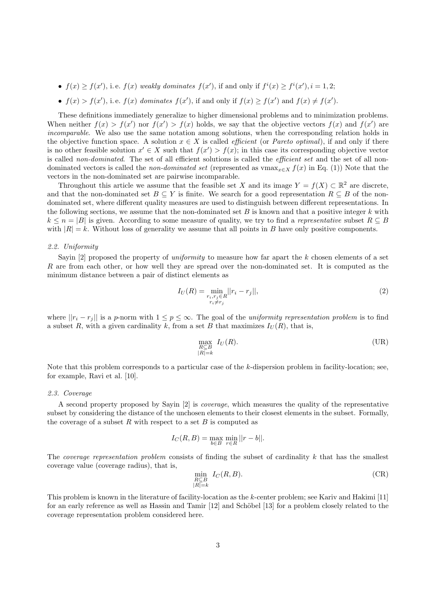- $f(x) \ge f(x')$ , i.e.  $f(x)$  weakly dominates  $f(x')$ , if and only if  $f^i(x) \ge f^i(x')$ ,  $i = 1, 2$ ;
- $f(x) > f(x')$ , i.e.  $f(x)$  dominates  $f(x')$ , if and only if  $f(x) \ge f(x')$  and  $f(x) \ne f(x')$ .

These definitions immediately generalize to higher dimensional problems and to minimization problems. When neither  $f(x) > f(x')$  nor  $f(x') > f(x)$  holds, we say that the objective vectors  $f(x)$  and  $f(x')$  are incomparable. We also use the same notation among solutions, when the corresponding relation holds in the objective function space. A solution  $x \in X$  is called *efficient* (or *Pareto optimal*), if and only if there is no other feasible solution  $x' \in X$  such that  $f(x') > f(x)$ ; in this case its corresponding objective vector is called non-dominated. The set of all efficient solutions is called the *efficient set* and the set of all nondominated vectors is called the *non-dominated set* (represented as vmax<sub>x∈X</sub>  $f(x)$  in Eq. (1)) Note that the vectors in the non-dominated set are pairwise incomparable.

Throughout this article we assume that the feasible set X and its image  $Y = f(X) \subset \mathbb{R}^2$  are discrete, and that the non-dominated set  $B \subseteq Y$  is finite. We search for a good representation  $R \subseteq B$  of the nondominated set, where different quality measures are used to distinguish between different representations. In the following sections, we assume that the non-dominated set  $B$  is known and that a positive integer  $k$  with  $k \leq n = |B|$  is given. According to some measure of quality, we try to find a *representative* subset  $R \subseteq B$ with  $|R| = k$ . Without loss of generality we assume that all points in B have only positive components.

## 2.2. Uniformity

Sayin [2] proposed the property of *uniformity* to measure how far apart the k chosen elements of a set R are from each other, or how well they are spread over the non-dominated set. It is computed as the minimum distance between a pair of distinct elements as

$$
I_U(R) = \min_{\substack{r_i, r_j \in R \\ r_i \neq r_j}} ||r_i - r_j||,
$$
\n(2)

where  $||r_i - r_j||$  is a p-norm with  $1 \leq p \leq \infty$ . The goal of the *uniformity representation problem* is to find a subset R, with a given cardinality k, from a set B that maximizes  $I_U(R)$ , that is,

$$
\max_{\substack{R \subseteq B \\ |R| = k}} I_U(R). \tag{UR}
$$

Note that this problem corresponds to a particular case of the k-dispersion problem in facility-location; see, for example, Ravi et al. [10].

#### 2.3. Coverage

A second property proposed by Sayin [2] is coverage, which measures the quality of the representative subset by considering the distance of the unchosen elements to their closest elements in the subset. Formally, the coverage of a subset R with respect to a set B is computed as

$$
I_C(R, B) = \max_{b \in B} \min_{r \in R} ||r - b||.
$$

The *coverage representation problem* consists of finding the subset of cardinality  $k$  that has the smallest coverage value (coverage radius), that is,

$$
\min_{\substack{R \subseteq B \\ |R| = k}} I_C(R, B). \tag{CR}
$$

This problem is known in the literature of facility-location as the k-center problem; see Kariv and Hakimi [11] for an early reference as well as Hassin and Tamir [12] and Schöbel [13] for a problem closely related to the coverage representation problem considered here.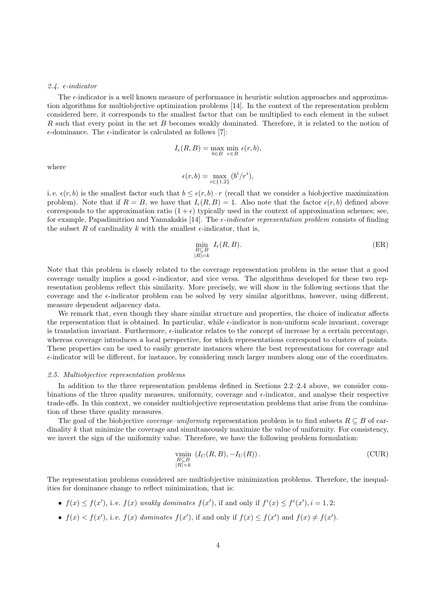## 2.4.  $\epsilon$ -indicator

The  $\epsilon$ -indicator is a well known measure of performance in heuristic solution approaches and approximation algorithms for multiobjective optimization problems [14]. In the context of the representation problem considered here, it corresponds to the smallest factor that can be multiplied to each element in the subset R such that every point in the set B becomes weakly dominated. Therefore, it is related to the notion of  $\epsilon$ -dominance. The  $\epsilon$ -indicator is calculated as follows [7]:

$$
I_{\epsilon}(R, B) = \max_{b \in B} \min_{r \in R} \epsilon(r, b),
$$

where

$$
\epsilon(r,b) = \max_{i \in \{1,2\}} \left( b^i / r^i \right),
$$

i. e.  $\epsilon(r, b)$  is the smallest factor such that  $b \leq \epsilon(r, b) \cdot r$  (recall that we consider a biobjective maximization problem). Note that if  $R = B$ , we have that  $I_{\epsilon}(R, B) = 1$ . Also note that the factor  $\epsilon(r, b)$  defined above corresponds to the approximation ratio  $(1 + \epsilon)$  typically used in the context of approximation schemes; see, for example, Papadimitriou and Yannakakis [14]. The  $\epsilon$ -indicator representation problem consists of finding the subset R of cardinality k with the smallest  $\epsilon$ -indicator, that is,

$$
\min_{\substack{R \subseteq B \\ |R| = k}} I_{\epsilon}(R, B). \tag{ER}
$$

Note that this problem is closely related to the coverage representation problem in the sense that a good coverage usually implies a good  $\epsilon$ -indicator, and vice versa. The algorithms developed for these two representation problems reflect this similarity. More precisely, we will show in the following sections that the coverage and the  $\epsilon$ -indicator problem can be solved by very similar algorithms, however, using different, measure dependent adjacency data.

We remark that, even though they share similar structure and properties, the choice of indicator affects the representation that is obtained. In particular, while  $\epsilon$ -indicator is non-uniform scale invariant, coverage is translation invariant. Furthermore,  $\epsilon$ -indicator relates to the concept of increase by a certain percentage, whereas coverage introduces a local perspective, for which representations correspond to clusters of points. These properties can be used to easily generate instances where the best representations for coverage and  $\epsilon$ -indicator will be different, for instance, by considering much larger numbers along one of the coordinates.

#### 2.5. Multiobjective representation problems

In addition to the three representation problems defined in Sections 2.2–2.4 above, we consider combinations of the three quality measures, uniformity, coverage and  $\epsilon$ -indicator, and analyse their respective trade-offs. In this context, we consider multiobjective representation problems that arise from the combination of these three quality measures.

The goal of the biobjective *coverage–uniformity* representation problem is to find subsets  $R \subseteq B$  of cardinality k that minimize the coverage and simultaneously maximize the value of uniformity. For consistency, we invert the sign of the uniformity value. Therefore, we have the following problem formulation:

$$
\min_{\substack{R \subseteq B \\ |R| = k}} (I_C(R, B), -I_U(R)).
$$
\n(CUR)

The representation problems considered are multiobjective minimization problems. Therefore, the inequalities for dominance change to reflect minimization, that is:

- $f(x) \leq f(x')$ , i.e.  $f(x)$  weakly dominates  $f(x')$ , if and only if  $f^i(x) \leq f^i(x')$ ,  $i = 1, 2$ ;
- $f(x) < f(x')$ , i.e.  $f(x)$  dominates  $f(x')$ , if and only if  $f(x) \le f(x')$  and  $f(x) \ne f(x')$ .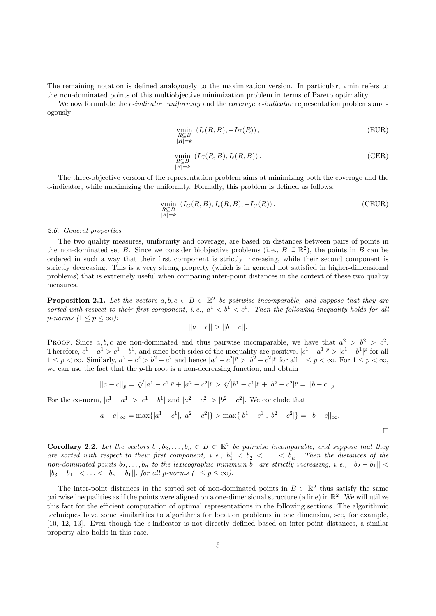The remaining notation is defined analogously to the maximization version. In particular, vmin refers to the non-dominated points of this multiobjective minimization problem in terms of Pareto optimality.

We now formulate the  $\epsilon$ -indicator-uniformity and the coverage- $\epsilon$ -indicator representation problems analogously:

$$
\min_{\substack{R \subseteq B \\ |R|=k}} (I_{\epsilon}(R, B), -I_{U}(R)),
$$
\n(EUR)

$$
\min_{\substack{R \subseteq B \\ |R| = k}} (I_C(R, B), I_{\epsilon}(R, B)).
$$
\n(CER)

The three-objective version of the representation problem aims at minimizing both the coverage and the  $\epsilon$ -indicator, while maximizing the uniformity. Formally, this problem is defined as follows:

$$
\min_{\substack{R \subseteq B \\ |R| = k}} (I_C(R, B), I_{\epsilon}(R, B), -I_U(R)).
$$
\n(CEUR)

## 2.6. General properties

The two quality measures, uniformity and coverage, are based on distances between pairs of points in the non-dominated set B. Since we consider biobjective problems (i.e.,  $B \subseteq \mathbb{R}^2$ ), the points in B can be ordered in such a way that their first component is strictly increasing, while their second component is strictly decreasing. This is a very strong property (which is in general not satisfied in higher-dimensional problems) that is extremely useful when comparing inter-point distances in the context of these two quality measures.

**Proposition 2.1.** Let the vectors  $a, b, c \in B \subset \mathbb{R}^2$  be pairwise incomparable, and suppose that they are sorted with respect to their first component, i.e.,  $a^1 < b^1 < c^1$ . Then the following inequality holds for all p-norms  $(1 \leq p \leq \infty)$ :

$$
||a - c|| > ||b - c||.
$$

PROOF. Since a, b, c are non-dominated and thus pairwise incomparable, we have that  $a^2 > b^2 > c^2$ . Therefore,  $c^1 - a^1 > c^1 - b^1$ , and since both sides of the inequality are positive,  $|c^1 - a^1|^p > |c^1 - b^1|^p$  for all  $1 \leq p < \infty$ . Similarly,  $a^2 - c^2 > b^2 - c^2$  and hence  $|a^2 - c^2|^p > |b^2 - c^2|^p$  for all  $1 \leq p < \infty$ . For  $1 \leq p < \infty$ , we can use the fact that the p-th root is a non-decreasing function, and obtain

$$
||a-c||_p = \sqrt[p]{|a^1 - c^1|^p + |a^2 - c^2|^p} > \sqrt[p]{|b^1 - c^1|^p + |b^2 - c^2|^p} = ||b-c||_p.
$$

For the  $\infty$ -norm,  $|c^1 - a^1| > |c^1 - b^1|$  and  $|a^2 - c^2| > |b^2 - c^2|$ . We conclude that

$$
||a - c||_{\infty} = \max\{|a^1 - c^1|, |a^2 - c^2|\} > \max\{|b^1 - c^1|, |b^2 - c^2|\} = ||b - c||_{\infty}.
$$

 $\Box$ 

**Corollary 2.2.** Let the vectors  $b_1, b_2, \ldots, b_n \in B \subset \mathbb{R}^2$  be pairwise incomparable, and suppose that they are sorted with respect to their first component, i.e.,  $b_1^1 < b_2^1 < \ldots < b_n^1$ . Then the distances of the non-dominated points  $b_2, \ldots, b_n$  to the lexicographic minimum  $b_1$  are strictly increasing, i.e.,  $||b_2 - b_1||$  <  $||b_3 - b_1|| < \ldots < ||b_n - b_1||$ , for all p-norms  $(1 \le p \le \infty)$ .

The inter-point distances in the sorted set of non-dominated points in  $B \subset \mathbb{R}^2$  thus satisfy the same pairwise inequalities as if the points were aligned on a one-dimensional structure (a line) in  $\mathbb{R}^2$ . We will utilize this fact for the efficient computation of optimal representations in the following sections. The algorithmic techniques have some similarities to algorithms for location problems in one dimension, see, for example, [10, 12, 13]. Even though the  $\epsilon$ -indicator is not directly defined based on inter-point distances, a similar property also holds in this case.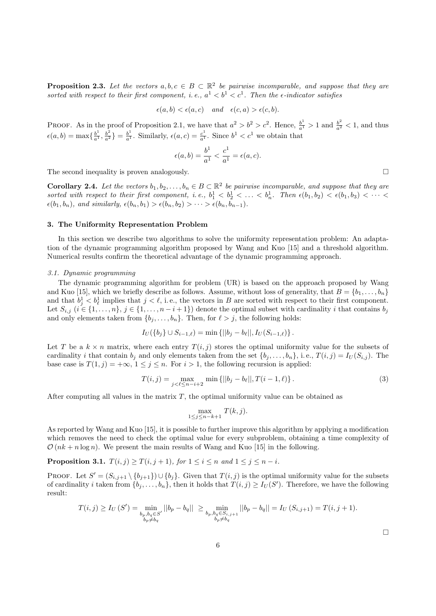**Proposition 2.3.** Let the vectors  $a, b, c \in B \subset \mathbb{R}^2$  be pairwise incomparable, and suppose that they are sorted with respect to their first component, i.e.,  $a^1 < b^1 < c^1$ . Then the e-indicator satisfies

$$
\epsilon(a,b) < \epsilon(a,c) \quad \text{and} \quad \epsilon(c,a) > \epsilon(c,b).
$$

PROOF. As in the proof of Proposition 2.1, we have that  $a^2 > b^2 > c^2$ . Hence,  $\frac{b^1}{a^1} > 1$  and  $\frac{b^2}{a^2} < 1$ , and thus  $\epsilon(a, b) = \max\{\frac{b^1}{a^1}, \frac{b^2}{a^2}\} = \frac{b^1}{a^1}$ . Similarly,  $\epsilon(a, c) = \frac{c^1}{a^1}$ . Since  $b^1 < c^1$  we obtain that

$$
\epsilon(a,b) = \frac{b^1}{a^1} < \frac{c^1}{a^1} = \epsilon(a,c).
$$

The second inequality is proven analogously.  $\square$ 

**Corollary 2.4.** Let the vectors  $b_1, b_2, \ldots, b_n \in B \subset \mathbb{R}^2$  be pairwise incomparable, and suppose that they are sorted with respect to their first component, i.e.,  $b_1^1 < b_2^1 < \ldots < b_n^1$ . Then  $\epsilon(b_1, b_2) < \epsilon(b_1, b_3) < \cdots <$  $\epsilon(b_1, b_n)$ , and similarly,  $\epsilon(b_n, b_1) > \epsilon(b_n, b_2) > \cdots > \epsilon(b_n, b_{n-1})$ .

## 3. The Uniformity Representation Problem

In this section we describe two algorithms to solve the uniformity representation problem: An adaptation of the dynamic programming algorithm proposed by Wang and Kuo [15] and a threshold algorithm. Numerical results confirm the theoretical advantage of the dynamic programming approach.

#### 3.1. Dynamic programming

The dynamic programming algorithm for problem (UR) is based on the approach proposed by Wang and Kuo [15], which we briefly describe as follows. Assume, without loss of generality, that  $B = \{b_1, \ldots, b_n\}$ and that  $b_j^1 < b_\ell^1$  implies that  $j < \ell$ , i.e., the vectors in B are sorted with respect to their first component. Let  $S_{i,j}$   $(i \in \{1, \ldots, n\}, j \in \{1, \ldots, n-i+1\})$  denote the optimal subset with cardinality i that contains  $b_j$ and only elements taken from  $\{b_i, \ldots, b_n\}$ . Then, for  $\ell > j$ , the following holds:

$$
I_U({b_j} \cup S_{i-1,\ell}) = \min\left\{||b_j - b_\ell||, I_U(S_{i-1,\ell})\right\}.
$$

Let T be a  $k \times n$  matrix, where each entry  $T(i, j)$  stores the optimal uniformity value for the subsets of cardinality *i* that contain  $b_j$  and only elements taken from the set  $\{b_j, \ldots, b_n\}$ , i.e.,  $T(i,j) = I_U(S_{i,j})$ . The base case is  $T(1, j) = +\infty$ ,  $1 \leq j \leq n$ . For  $i > 1$ , the following recursion is applied:

$$
T(i,j) = \max_{j < \ell \le n-i+2} \min \left\{ ||b_j - b_\ell||, T(i-1,\ell) \right\}.
$$
\n<sup>(3)</sup>

After computing all values in the matrix  $T$ , the optimal uniformity value can be obtained as

$$
\max_{1 \le j \le n-k+1} T(k,j).
$$

As reported by Wang and Kuo [15], it is possible to further improve this algorithm by applying a modification which removes the need to check the optimal value for every subproblem, obtaining a time complexity of  $\mathcal{O}(nk + n \log n)$ . We present the main results of Wang and Kuo [15] in the following.

## **Proposition 3.1.**  $T(i, j) \geq T(i, j + 1)$ , for  $1 \leq i \leq n$  and  $1 \leq j \leq n - i$ .

PROOF. Let  $S' = (S_{i,j+1} \setminus \{b_{j+1}\}) \cup \{b_j\}$ . Given that  $T(i, j)$  is the optimal uniformity value for the subsets of cardinality *i* taken from  $\{b_j, \ldots, b_n\}$ , then it holds that  $T(i,j) \geq I_U(S')$ . Therefore, we have the following result:

$$
T(i,j) \ge I_U(S') = \min_{\substack{b_p, b_q \in S' \\ b_p \ne b_q}} ||b_p - b_q|| \ge \min_{\substack{b_p, b_q \in S_{i,j+1} \\ b_p \ne b_q}} ||b_p - b_q|| = I_U(S_{i,j+1}) = T(i,j+1).
$$

 $\Box$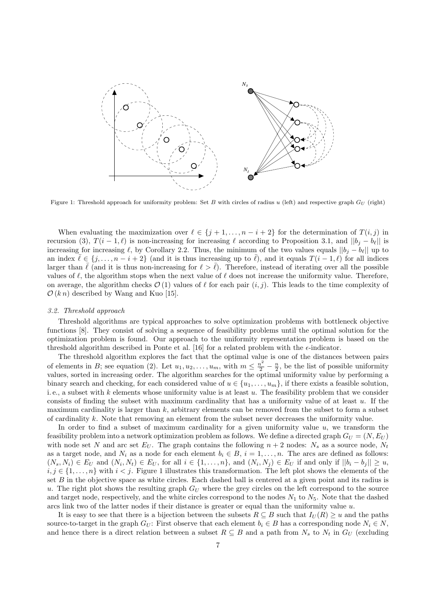

Figure 1: Threshold approach for uniformity problem: Set B with circles of radius u (left) and respective graph  $G_U$  (right)

When evaluating the maximization over  $\ell \in \{j + 1, \ldots, n - i + 2\}$  for the determination of  $T(i, j)$  in recursion (3),  $T(i - 1, \ell)$  is non-increasing for increasing  $\ell$  according to Proposition 3.1, and  $||b_i - b_\ell||$  is increasing for increasing  $\ell$ , by Corollary 2.2. Thus, the minimum of the two values equals  $||b_j - b_\ell||$  up to an index  $\ell \in \{j, \ldots, n - i + 2\}$  (and it is thus increasing up to  $\ell$ ), and it equals  $T(i - 1, \ell)$  for all indices larger than  $\bar{\ell}$  (and it is thus non-increasing for  $\ell > \bar{\ell}$ ). Therefore, instead of iterating over all the possible values of  $\ell$ , the algorithm stops when the next value of  $\ell$  does not increase the uniformity value. Therefore, on average, the algorithm checks  $\mathcal{O}(1)$  values of  $\ell$  for each pair  $(i, j)$ . This leads to the time complexity of  $\mathcal{O}(k n)$  described by Wang and Kuo [15].

## 3.2. Threshold approach

Threshold algorithms are typical approaches to solve optimization problems with bottleneck objective functions [8]. They consist of solving a sequence of feasibility problems until the optimal solution for the optimization problem is found. Our approach to the uniformity representation problem is based on the threshold algorithm described in Ponte et al. [16] for a related problem with the  $\epsilon$ -indicator.

The threshold algorithm explores the fact that the optimal value is one of the distances between pairs of elements in B; see equation (2). Let  $u_1, u_2, \ldots, u_m$ , with  $m \leq \frac{n^2}{2} - \frac{n}{2}$ , be the list of possible uniformity values, sorted in increasing order. The algorithm searches for the optimal uniformity value by performing a binary search and checking, for each considered value of  $u \in \{u_1, \ldots, u_m\}$ , if there exists a feasible solution, i.e., a subset with  $k$  elements whose uniformity value is at least  $u$ . The feasibility problem that we consider consists of finding the subset with maximum cardinality that has a uniformity value of at least  $u$ . If the maximum cardinality is larger than  $k$ , arbitrary elements can be removed from the subset to form a subset of cardinality k. Note that removing an element from the subset never decreases the uniformity value.

In order to find a subset of maximum cardinality for a given uniformity value  $u$ , we transform the feasibility problem into a network optimization problem as follows. We define a directed graph  $G_U = (N, E_U)$ with node set N and arc set  $E_U$ . The graph contains the following  $n + 2$  nodes:  $N_s$  as a source node,  $N_t$ as a target node, and  $N_i$  as a node for each element  $b_i \in B$ ,  $i = 1, \ldots, n$ . The arcs are defined as follows:  $(N_s, N_i) \in E_U$  and  $(N_i, N_t) \in E_U$ , for all  $i \in \{1, \ldots, n\}$ , and  $(N_i, N_j) \in E_U$  if and only if  $||b_i - b_j|| \geq u$ ,  $i, j \in \{1, \ldots, n\}$  with  $i < j$ . Figure 1 illustrates this transformation. The left plot shows the elements of the set B in the objective space as white circles. Each dashed ball is centered at a given point and its radius is u. The right plot shows the resulting graph  $G_U$  where the grey circles on the left correspond to the source and target node, respectively, and the white circles correspond to the nodes  $N_1$  to  $N_5$ . Note that the dashed arcs link two of the latter nodes if their distance is greater or equal than the uniformity value  $u$ .

It is easy to see that there is a bijection between the subsets  $R \subseteq B$  such that  $I_U(R) \geq u$  and the paths source-to-target in the graph  $G_U$ : First observe that each element  $b_i \in B$  has a corresponding node  $N_i \in N$ , and hence there is a direct relation between a subset  $R \subseteq B$  and a path from  $N_s$  to  $N_t$  in  $G_U$  (excluding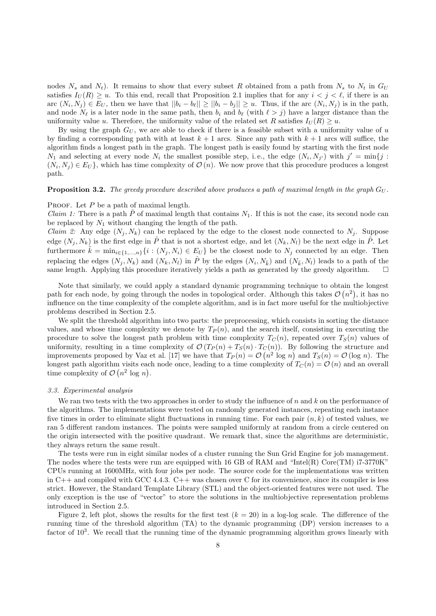nodes  $N_s$  and  $N_t$ ). It remains to show that every subset R obtained from a path from  $N_s$  to  $N_t$  in  $G_U$ satisfies  $I_U(R) \geq u$ . To this end, recall that Proposition 2.1 implies that for any  $i < j < \ell$ , if there is an arc  $(N_i, N_j) \in E_U$ , then we have that  $||b_i - b_i|| \ge ||b_i - b_j|| \ge u$ . Thus, if the arc  $(N_i, N_j)$  is in the path, and node  $N_\ell$  is a later node in the same path, then  $b_i$  and  $b_\ell$  (with  $\ell > j$ ) have a larger distance than the uniformity value u. Therefore, the uniformity value of the related set R satisfies  $I_{U}(R) \geq u$ .

By using the graph  $G_U$ , we are able to check if there is a feasible subset with a uniformity value of  $u$ by finding a corresponding path with at least  $k + 1$  arcs. Since any path with  $k + 1$  arcs will suffice, the algorithm finds a longest path in the graph. The longest path is easily found by starting with the first node  $N_1$  and selecting at every node  $N_i$  the smallest possible step, i.e., the edge  $(N_i, N_{j'})$  with  $j' = \min\{j :$  $(N_i, N_j) \in E_U$ , which has time complexity of  $\mathcal{O}(n)$ . We now prove that this procedure produces a longest path.

#### **Proposition 3.2.** The greedy procedure described above produces a path of maximal length in the graph  $G_U$ .

#### PROOF. Let  $P$  be a path of maximal length.

*Claim 1:* There is a path  $\hat{P}$  of maximal length that contains  $N_1$ . If this is not the case, its second node can be replaced by  $N_1$  without changing the length of the path.

*Claim 2:* Any edge  $(N_i, N_k)$  can be replaced by the edge to the closest node connected to  $N_i$ . Suppose edge  $(N_i, N_k)$  is the first edge in  $\hat{P}$  that is not a shortest edge, and let  $(N_k, N_l)$  be the next edge in  $\hat{P}$ . Let furthermore  $k = \min_{i \in \{1,...,n\}} \{i : (N_j, N_i) \in E_U\}$  be the closest node to  $N_j$  connected by an edge. Then replacing the edges  $(N_j, N_k)$  and  $(N_k, N_l)$  in  $\hat{P}$  by the edges  $(N_i, N_{\tilde{k}})$  and  $(N_{\tilde{k}}, N_l)$  leads to a path of the same length. Applying this procedure iteratively yields a path as generated by the greedy algorithm.  $\square$ 

Note that similarly, we could apply a standard dynamic programming technique to obtain the longest path for each node, by going through the nodes in topological order. Although this takes  $\mathcal{O}(n^2)$ , it has no influence on the time complexity of the complete algorithm, and is in fact more useful for the multiobjective problems described in Section 2.5.

We split the threshold algorithm into two parts: the preprocessing, which consists in sorting the distance values, and whose time complexity we denote by  $T_P(n)$ , and the search itself, consisting in executing the procedure to solve the longest path problem with time complexity  $T_C(n)$ , repeated over  $T_S(n)$  values of uniformity, resulting in a time complexity of  $\mathcal{O}(T_P(n) + T_S(n) \cdot T_C(n))$ . By following the structure and improvements proposed by Vaz et al. [17] we have that  $T_P(n) = \mathcal{O}(n^2 \log n)$  and  $T_S(n) = \mathcal{O}(\log n)$ . The longest path algorithm visits each node once, leading to a time complexity of  $T_c(n) = \mathcal{O}(n)$  and an overall time complexity of  $\mathcal{O}(n^2 \log n)$ .

## 3.3. Experimental analysis

We ran two tests with the two approaches in order to study the influence of  $n$  and  $k$  on the performance of the algorithms. The implementations were tested on randomly generated instances, repeating each instance five times in order to eliminate slight fluctuations in running time. For each pair  $(n, k)$  of tested values, we ran 5 different random instances. The points were sampled uniformly at random from a circle centered on the origin intersected with the positive quadrant. We remark that, since the algorithms are deterministic, they always return the same result.

The tests were run in eight similar nodes of a cluster running the Sun Grid Engine for job management. The nodes where the tests were run are equipped with 16 GB of RAM and "Intel(R) Core(TM) i7-3770K" CPUs running at 1600MHz, with four jobs per node. The source code for the implementations was written in  $C++$  and compiled with GCC 4.4.3.  $C++$  was chosen over C for its convenience, since its compiler is less strict. However, the Standard Template Library (STL) and the object-oriented features were not used. The only exception is the use of "vector" to store the solutions in the multiobjective representation problems introduced in Section 2.5.

Figure 2, left plot, shows the results for the first test  $(k = 20)$  in a log-log scale. The difference of the running time of the threshold algorithm (TA) to the dynamic programming (DP) version increases to a factor of  $10<sup>3</sup>$ . We recall that the running time of the dynamic programming algorithm grows linearly with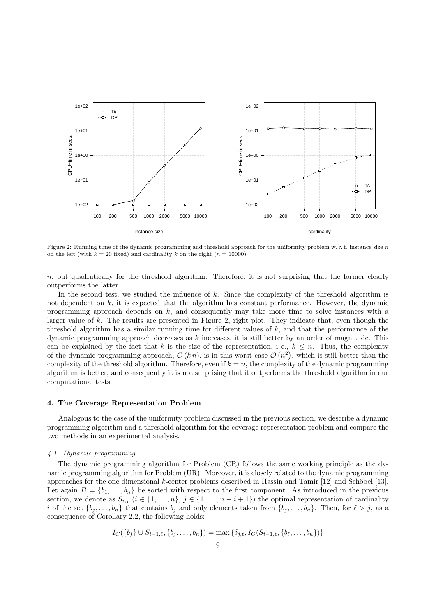

Figure 2: Running time of the dynamic programming and threshold approach for the uniformity problem w.r.t. instance size n on the left (with  $k = 20$  fixed) and cardinality k on the right ( $n = 10000$ )

 $n$ , but quadratically for the threshold algorithm. Therefore, it is not surprising that the former clearly outperforms the latter.

In the second test, we studied the influence of k. Since the complexity of the threshold algorithm is not dependent on  $k$ , it is expected that the algorithm has constant performance. However, the dynamic programming approach depends on k, and consequently may take more time to solve instances with a larger value of k. The results are presented in Figure 2, right plot. They indicate that, even though the threshold algorithm has a similar running time for different values of  $k$ , and that the performance of the dynamic programming approach decreases as  $k$  increases, it is still better by an order of magnitude. This can be explained by the fact that k is the size of the representation, i.e.,  $k \leq n$ . Thus, the complexity of the dynamic programming approach,  $\mathcal{O}(k n)$ , is in this worst case  $\mathcal{O}(n^2)$ , which is still better than the complexity of the threshold algorithm. Therefore, even if  $k = n$ , the complexity of the dynamic programming algorithm is better, and consequently it is not surprising that it outperforms the threshold algorithm in our computational tests.

## 4. The Coverage Representation Problem

Analogous to the case of the uniformity problem discussed in the previous section, we describe a dynamic programming algorithm and a threshold algorithm for the coverage representation problem and compare the two methods in an experimental analysis.

## 4.1. Dynamic programming

The dynamic programming algorithm for Problem (CR) follows the same working principle as the dynamic programming algorithm for Problem (UR). Moreover, it is closely related to the dynamic programming approaches for the one dimensional k-center problems described in Hassin and Tamir  $[12]$  and Schöbel [13]. Let again  $B = \{b_1, \ldots, b_n\}$  be sorted with respect to the first component. As introduced in the previous section, we denote as  $S_{i,j}$   $(i \in \{1, ..., n\}, j \in \{1, ..., n-i+1\})$  the optimal representation of cardinality i of the set  $\{b_j, \ldots, b_n\}$  that contains  $b_j$  and only elements taken from  $\{b_j, \ldots, b_n\}$ . Then, for  $\ell > j$ , as a consequence of Corollary 2.2, the following holds:

$$
I_C({b_j} \cup S_{i-1,\ell}, {b_j, \ldots, b_n}) = \max \{ \delta_{j,\ell}, I_C(S_{i-1,\ell}, {b_\ell, \ldots, b_n}) \}
$$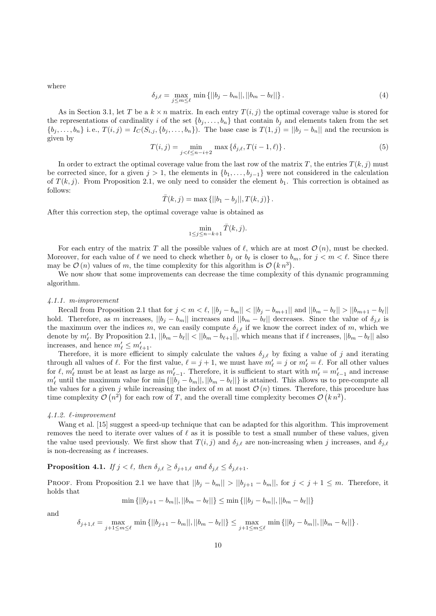where

$$
\delta_{j,\ell} = \max_{j \le m \le \ell} \min \{ ||b_j - b_m||, ||b_m - b_\ell|| \}.
$$
 (4)

As in Section 3.1, let T be a  $k \times n$  matrix. In each entry  $T(i, j)$  the optimal coverage value is stored for the representations of cardinality i of the set  $\{b_j, \ldots, b_n\}$  that contain  $b_j$  and elements taken from the set  $\{b_j, \ldots, b_n\}$  i.e.,  $T(i,j) = I_C(S_{i,j}, \{b_j, \ldots, b_n\})$ . The base case is  $T(1,j) = ||b_j - b_n||$  and the recursion is given by

$$
T(i,j) = \min_{j < \ell \le n-i+2} \max \{ \delta_{j,\ell}, T(i-1,\ell) \}. \tag{5}
$$

In order to extract the optimal coverage value from the last row of the matrix T, the entries  $T(k, j)$  must be corrected since, for a given  $j > 1$ , the elements in  $\{b_1, \ldots, b_{j-1}\}$  were not considered in the calculation of  $T(k, j)$ . From Proposition 2.1, we only need to consider the element  $b_1$ . This correction is obtained as follows:

$$
\bar{T}(k, j) = \max \{||b_1 - b_j||, T(k, j)\}.
$$

After this correction step, the optimal coverage value is obtained as

$$
\min_{1\leq j\leq n-k+1}\bar{T}(k,j).
$$

For each entry of the matrix T all the possible values of  $\ell$ , which are at most  $\mathcal{O}(n)$ , must be checked. Moreover, for each value of  $\ell$  we need to check whether  $b_j$  or  $b_\ell$  is closer to  $b_m$ , for  $j < m < \ell$ . Since there may be  $\mathcal{O}(n)$  values of m, the time complexity for this algorithm is  $\mathcal{O}(k n^3)$ .

We now show that some improvements can decrease the time complexity of this dynamic programming algorithm.

#### 4.1.1. m-improvement

Recall from Proposition 2.1 that for  $j < m < \ell$ ,  $||b_j - b_m|| < ||b_j - b_{m+1}||$  and  $||b_m - b_{\ell}|| > ||b_{m+1} - b_{\ell}||$ hold. Therefore, as m increases,  $||b_j - b_m||$  increases and  $||b_m - b_\ell||$  decreases. Since the value of  $\delta_{j,\ell}$  is the maximum over the indices m, we can easily compute  $\delta_{j,\ell}$  if we know the correct index of m, which we denote by  $m'_\ell$ . By Proposition 2.1,  $||b_m - b_\ell|| < ||b_m - b_{\ell+1}||$ , which means that if  $\ell$  increases,  $||b_m - b_\ell||$  also increases, and hence  $m'_\ell \leq m'_{\ell+1}$ .

Therefore, it is more efficient to simply calculate the values  $\delta_{j,\ell}$  by fixing a value of j and iterating through all values of  $\ell$ . For the first value,  $\ell = j + 1$ , we must have  $m'_\ell = j$  or  $m'_\ell = \ell$ . For all other values for  $\ell, m'_\ell$  must be at least as large as  $m'_{\ell-1}$ . Therefore, it is sufficient to start with  $m'_\ell = m'_{\ell-1}$  and increase  $m'_\ell$  until the maximum value for min  $\{|b_j - b_m||, ||b_m - b_\ell||\}$  is attained. This allows us to pre-compute all the values for a given j while increasing the index of m at most  $\mathcal{O}(n)$  times. Therefore, this procedure has time complexity  $\mathcal{O}(n^2)$  for each row of T, and the overall time complexity becomes  $\mathcal{O}(kn^2)$ .

## $4.1.2.$   $\ell$ -improvement

Wang et al. [15] suggest a speed-up technique that can be adapted for this algorithm. This improvement removes the need to iterate over values of  $\ell$  as it is possible to test a small number of these values, given the value used previously. We first show that  $T(i, j)$  and  $\delta_{j, \ell}$  are non-increasing when j increases, and  $\delta_{j, \ell}$ is non-decreasing as  $\ell$  increases.

## **Proposition 4.1.** If  $j < \ell$ , then  $\delta_{j,\ell} \geq \delta_{j+1,\ell}$  and  $\delta_{j,\ell} \leq \delta_{j,\ell+1}$ .

PROOF. From Proposition 2.1 we have that  $||b_j - b_m|| > ||b_{j+1} - b_m||$ , for  $j < j + 1 \leq m$ . Therefore, it holds that

$$
\min \{||b_{j+1} - b_m||, ||b_m - b_\ell||\} \le \min \{||b_j - b_m||, ||b_m - b_\ell||\}
$$

and

$$
\delta_{j+1,\ell} = \max_{j+1 \le m \le \ell} \min \left\{ ||b_{j+1} - b_m||, ||b_m - b_\ell|| \right\} \le \max_{j+1 \le m \le \ell} \min \left\{ ||b_j - b_m||, ||b_m - b_\ell|| \right\}.
$$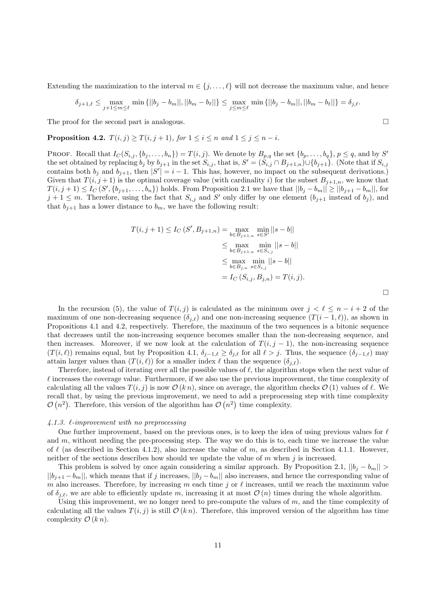Extending the maximization to the interval  $m \in \{j, \ldots, \ell\}$  will not decrease the maximum value, and hence

$$
\delta_{j+1,\ell} \le \max_{j+1 \le m \le \ell} \min \{||b_j - b_m||, ||b_m - b_\ell||\} \le \max_{j \le m \le \ell} \min \{||b_j - b_m||, ||b_m - b_\ell||\} = \delta_{j,\ell}.
$$

The proof for the second part is analogous.  $\Box$ 

**Proposition 4.2.**  $T(i, j) \geq T(i, j + 1)$ , for  $1 \leq i \leq n$  and  $1 \leq j \leq n - i$ .

PROOF. Recall that  $I_C(S_{i,j}, \{b_j, \ldots, b_n\}) = T(i,j)$ . We denote by  $B_{p,q}$  the set  $\{b_p, \ldots, b_q\}, p \leq q$ , and by S' the set obtained by replacing  $b_j$  by  $b_{j+1}$  in the set  $S_{i,j}$ , that is,  $S' = (S_{i,j} \cap B_{j+1,n}) \cup \{b_{j+1}\}\$ . (Note that if  $S_{i,j}$ contains both  $b_j$  and  $b_{j+1}$ , then  $|S'| = i - 1$ . This has, however, no impact on the subsequent derivations. Given that  $T(i, j + 1)$  is the optimal coverage value (with cardinality i) for the subset  $B_{j+1,n}$ , we know that  $T(i, j+1) \le I_C(S', \{b_{j+1}, \ldots, b_n\})$  holds. From Proposition 2.1 we have that  $||b_j - b_m|| \ge ||b_{j+1} - b_m||$ , for  $j+1 \leq m$ . Therefore, using the fact that  $S_{i,j}$  and S' only differ by one element  $(b_{j+1}$  instead of  $b_j$ ), and that  $b_{j+1}$  has a lower distance to  $b_m$ , we have the following result:

$$
T(i, j + 1) \le I_C(S', B_{j+1,n}) = \max_{b \in B_{j+1,n}} \min_{s \in S'} ||s - b||
$$
  
\n
$$
\le \max_{b \in B_{j+1,n}} \min_{s \in S_{i,j}} ||s - b||
$$
  
\n
$$
\le \max_{b \in B_{j,n}} \min_{s \in S_{i,j}} ||s - b||
$$
  
\n
$$
= I_C(S_{i,j}, B_{j,n}) = T(i, j).
$$

In the recursion (5), the value of  $T(i, j)$  is calculated as the minimum over  $j < \ell \leq n - i + 2$  of the maximum of one non-decreasing sequence  $(\delta_{i,\ell})$  and one non-increasing sequence  $(T(i - 1, \ell))$ , as shown in Propositions 4.1 and 4.2, respectively. Therefore, the maximum of the two sequences is a bitonic sequence that decreases until the non-increasing sequence becomes smaller than the non-decreasing sequence, and then increases. Moreover, if we now look at the calculation of  $T(i, j - 1)$ , the non-increasing sequence  $(T(i, \ell))$  remains equal, but by Proposition 4.1,  $\delta_{j-1,\ell} \ge \delta_{j,\ell}$  for all  $\ell > j$ . Thus, the sequence  $(\delta_{j-1,\ell})$  may attain larger values than  $(T(i, \ell))$  for a smaller index  $\ell$  than the sequence  $(\delta_{i,\ell})$ .

Therefore, instead of iterating over all the possible values of  $\ell$ , the algorithm stops when the next value of  $\ell$  increases the coverage value. Furthermore, if we also use the previous improvement, the time complexity of calculating all the values  $T(i, j)$  is now  $\mathcal{O}(kn)$ , since on average, the algorithm checks  $\mathcal{O}(1)$  values of  $\ell$ . We recall that, by using the previous improvement, we need to add a preprocessing step with time complexity  $\mathcal{O}(n^2)$ . Therefore, this version of the algorithm has  $\mathcal{O}(n^2)$  time complexity.

## $\angle 4.1.3.$   $\ell$ -improvement with no preprocessing

One further improvement, based on the previous ones, is to keep the idea of using previous values for  $\ell$ and  $m$ , without needing the pre-processing step. The way we do this is to, each time we increase the value of  $\ell$  (as described in Section 4.1.2), also increase the value of m, as described in Section 4.1.1. However, neither of the sections describes how should we update the value of  $m$  when  $j$  is increased.

This problem is solved by once again considering a similar approach. By Proposition 2.1,  $||b_j - b_m||$  >  $||b_{j+1}-b_m||$ , which means that if j increases,  $||b_j-b_m||$  also increases, and hence the corresponding value of m also increases. Therefore, by increasing m each time j or  $\ell$  increases, until we reach the maximum value of  $\delta_{i,\ell}$ , we are able to efficiently update m, increasing it at most  $\mathcal{O}(n)$  times during the whole algorithm.

Using this improvement, we no longer need to pre-compute the values of  $m$ , and the time complexity of calculating all the values  $T(i, j)$  is still  $\mathcal{O}(k n)$ . Therefore, this improved version of the algorithm has time complexity  $\mathcal{O}(k n)$ .

 $\Box$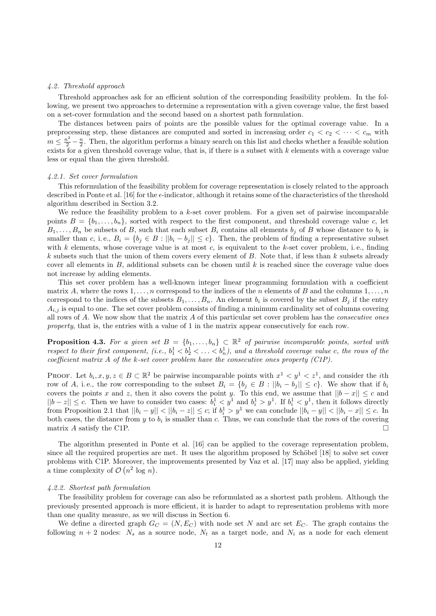### 4.2. Threshold approach

Threshold approaches ask for an efficient solution of the corresponding feasibility problem. In the following, we present two approaches to determine a representation with a given coverage value, the first based on a set-cover formulation and the second based on a shortest path formulation.

The distances between pairs of points are the possible values for the optimal coverage value. In a preprocessing step, these distances are computed and sorted in increasing order  $c_1 < c_2 < \cdots < c_m$  with  $m \leq \frac{n^2}{2} - \frac{n}{2}$ . Then, the algorithm performs a binary search on this list and checks whether a feasible solution exists for a given threshold coverage value, that is, if there is a subset with  $k$  elements with a coverage value less or equal than the given threshold.

## 4.2.1. Set cover formulation

This reformulation of the feasibility problem for coverage representation is closely related to the approach described in Ponte et al. [16] for the  $\epsilon$ -indicator, although it retains some of the characteristics of the threshold algorithm described in Section 3.2.

We reduce the feasibility problem to a  $k$ -set cover problem. For a given set of pairwise incomparable points  $B = \{b_1, \ldots, b_n\}$ , sorted with respect to the first component, and threshold coverage value c, let  $B_1, \ldots, B_n$  be subsets of B, such that each subset  $B_i$  contains all elements  $b_j$  of B whose distance to  $b_i$  is smaller than c, i.e.,  $B_i = \{b_j \in B : ||b_i - b_j|| \le c\}$ . Then, the problem of finding a representative subset with k elements, whose coverage value is at most c, is equivalent to the k-set cover problem, i.e., finding k subsets such that the union of them covers every element of  $B$ . Note that, if less than k subsets already cover all elements in  $B$ , additional subsets can be chosen until  $k$  is reached since the coverage value does not increase by adding elements.

This set cover problem has a well-known integer linear programming formulation with a coefficient matrix A, where the rows  $1, \ldots, n$  correspond to the indices of the n elements of B and the columns  $1, \ldots, n$ correspond to the indices of the subsets  $B_1, \ldots, B_n$ . An element  $b_i$  is covered by the subset  $B_j$  if the entry  $A_{i,j}$  is equal to one. The set cover problem consists of finding a minimum cardinality set of columns covering all rows of  $A$ . We now show that the matrix  $A$  of this particular set cover problem has the *consecutive ones* property, that is, the entries with a value of 1 in the matrix appear consecutively for each row.

**Proposition 4.3.** For a given set  $B = \{b_1, \ldots, b_n\} \subset \mathbb{R}^2$  of pairwise incomparable points, sorted with respect to their first component, (i.e.,  $b_1^1 < b_2^1 < \ldots < b_n^1$ ), and a threshold coverage value c, the rows of the coefficient matrix A of the k-set cover problem have the consecutive ones property (C1P).

PROOF. Let  $b_i, x, y, z \in B \subset \mathbb{R}^2$  be pairwise incomparable points with  $x^1 \lt y^1 \lt z^1$ , and consider the *i*th row of A, i.e., the row corresponding to the subset  $B_i = \{b_j \in B : ||b_i - b_j|| \le c\}$ . We show that if  $b_i$ covers the points x and z, then it also covers the point y. To this end, we assume that  $||b - x|| \leq c$  and  $||b-z|| \leq c$ . Then we have to consider two cases:  $b_i^1 < y^1$  and  $b_i^1 > y^1$ . If  $b_i^1 < y^1$ , then it follows directly from Proposition 2.1 that  $||b_i - y|| < ||b_i - z|| \le c$ ; if  $b_i^1 > y^1$  we can conclude  $||b_i - y|| < ||b_i - x|| \le c$ . In both cases, the distance from y to  $b_i$  is smaller than c. Thus, we can conclude that the rows of the covering matrix A satisfy the C1P.

The algorithm presented in Ponte et al. [16] can be applied to the coverage representation problem, since all the required properties are met. It uses the algorithm proposed by Schöbel [18] to solve set cover problems with C1P. Moreover, the improvements presented by Vaz et al. [17] may also be applied, yielding a time complexity of  $\mathcal{O}(n^2 \log n)$ .

## 4.2.2. Shortest path formulation

The feasibility problem for coverage can also be reformulated as a shortest path problem. Although the previously presented approach is more efficient, it is harder to adapt to representation problems with more than one quality measure, as we will discuss in Section 6.

We define a directed graph  $G_C = (N, E_C)$  with node set N and arc set  $E_C$ . The graph contains the following  $n + 2$  nodes:  $N_s$  as a source node,  $N_t$  as a target node, and  $N_i$  as a node for each element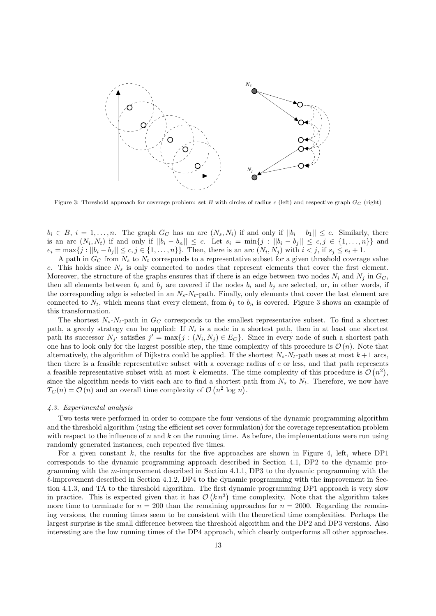

Figure 3: Threshold approach for coverage problem: set B with circles of radius c (left) and respective graph  $G_C$  (right)

 $b_i \in B, i = 1, \ldots, n$ . The graph  $G_C$  has an arc  $(N_s, N_i)$  if and only if  $||b_i - b_1|| \leq c$ . Similarly, there is an arc  $(N_i, N_t)$  if and only if  $||b_i - b_n|| \leq c$ . Let  $s_i = \min\{j : ||b_i - b_j|| \leq c, j \in \{1, ..., n\}\}\$ and  $e_i = \max\{j : ||b_i - b_j|| \leq c, j \in \{1, ..., n\}\}.$  Then, there is an arc  $(N_i, N_j)$  with  $i < j$ , if  $s_j \leq e_i + 1$ .

A path in  $G_C$  from  $N_s$  to  $N_t$  corresponds to a representative subset for a given threshold coverage value c. This holds since  $N_s$  is only connected to nodes that represent elements that cover the first element. Moreover, the structure of the graphs ensures that if there is an edge between two nodes  $N_i$  and  $N_j$  in  $G_C$ , then all elements between  $b_i$  and  $b_j$  are covered if the nodes  $b_i$  and  $b_j$  are selected, or, in other words, if the corresponding edge is selected in an  $N_s - N_t$ -path. Finally, only elements that cover the last element are connected to  $N_t$ , which means that every element, from  $b_1$  to  $b_n$  is covered. Figure 3 shows an example of this transformation.

The shortest  $N_s - N_t$ -path in  $G_C$  corresponds to the smallest representative subset. To find a shortest path, a greedy strategy can be applied: If  $N_i$  is a node in a shortest path, then in at least one shortest path its successor  $N_{j'}$  satisfies  $j' = \max\{j : (N_i, N_j) \in E_C\}$ . Since in every node of such a shortest path one has to look only for the largest possible step, the time complexity of this procedure is  $\mathcal{O}(n)$ . Note that alternatively, the algorithm of Dijkstra could be applied. If the shortest  $N_s - N_t$ -path uses at most  $k + 1$  arcs, then there is a feasible representative subset with a coverage radius of  $c$  or less, and that path represents a feasible representative subset with at most k elements. The time complexity of this procedure is  $\mathcal{O}(n^2)$ , since the algorithm needs to visit each arc to find a shortest path from  $N_s$  to  $N_t$ . Therefore, we now have  $T_C(n) = \mathcal{O}(n)$  and an overall time complexity of  $\mathcal{O}(n^2 \log n)$ .

#### 4.3. Experimental analysis

Two tests were performed in order to compare the four versions of the dynamic programming algorithm and the threshold algorithm (using the efficient set cover formulation) for the coverage representation problem with respect to the influence of  $n$  and  $k$  on the running time. As before, the implementations were run using randomly generated instances, each repeated five times.

For a given constant  $k$ , the results for the five approaches are shown in Figure 4, left, where DP1 corresponds to the dynamic programming approach described in Section 4.1, DP2 to the dynamic programming with the m-improvement described in Section 4.1.1, DP3 to the dynamic programming with the  $\ell$ -improvement described in Section 4.1.2, DP4 to the dynamic programming with the improvement in Section 4.1.3, and TA to the threshold algorithm. The first dynamic programming DP1 approach is very slow in practice. This is expected given that it has  $\mathcal{O}(kn^3)$  time complexity. Note that the algorithm takes more time to terminate for  $n = 200$  than the remaining approaches for  $n = 2000$ . Regarding the remaining versions, the running times seem to be consistent with the theoretical time complexities. Perhaps the largest surprise is the small difference between the threshold algorithm and the DP2 and DP3 versions. Also interesting are the low running times of the DP4 approach, which clearly outperforms all other approaches.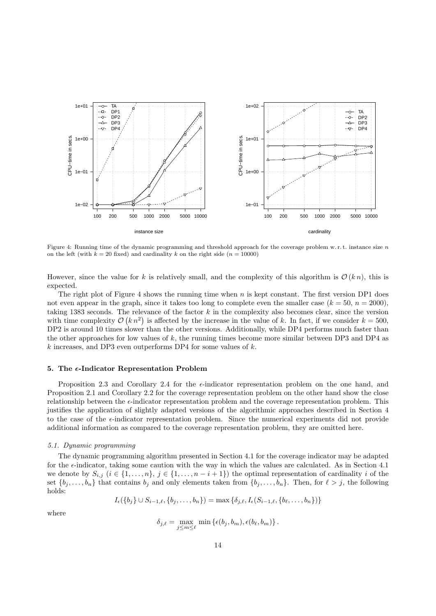

Figure 4: Running time of the dynamic programming and threshold approach for the coverage problem w.r.t. instance size n on the left (with  $k = 20$  fixed) and cardinality k on the right side ( $n = 10000$ )

However, since the value for k is relatively small, and the complexity of this algorithm is  $\mathcal{O}(k n)$ , this is expected.

The right plot of Figure 4 shows the running time when  $n$  is kept constant. The first version DP1 does not even appear in the graph, since it takes too long to complete even the smaller case  $(k = 50, n = 2000)$ , taking 1383 seconds. The relevance of the factor  $k$  in the complexity also becomes clear, since the version with time complexity  $\mathcal{O}(kn^2)$  is affected by the increase in the value of k. In fact, if we consider  $k = 500$ , DP2 is around 10 times slower than the other versions. Additionally, while DP4 performs much faster than the other approaches for low values of k, the running times become more similar between DP3 and DP4 as  $k$  increases, and DP3 even outperforms DP4 for some values of  $k$ .

#### 5. The  $\epsilon$ -Indicator Representation Problem

Proposition 2.3 and Corollary 2.4 for the  $\epsilon$ -indicator representation problem on the one hand, and Proposition 2.1 and Corollary 2.2 for the coverage representation problem on the other hand show the close relationship between the  $\epsilon$ -indicator representation problem and the coverage representation problem. This justifies the application of slightly adapted versions of the algorithmic approaches described in Section 4 to the case of the  $\epsilon$ -indicator representation problem. Since the numerical experiments did not provide additional information as compared to the coverage representation problem, they are omitted here.

### 5.1. Dynamic programming

The dynamic programming algorithm presented in Section 4.1 for the coverage indicator may be adapted for the  $\epsilon$ -indicator, taking some caution with the way in which the values are calculated. As in Section 4.1 we denote by  $S_{i,j}$   $(i \in \{1, \ldots, n\}, j \in \{1, \ldots, n-i+1\})$  the optimal representation of cardinality i of the set  $\{b_j, \ldots, b_n\}$  that contains  $b_j$  and only elements taken from  $\{b_j, \ldots, b_n\}$ . Then, for  $\ell > j$ , the following holds:

$$
I_{\epsilon}(\{b_j\} \cup S_{i-1,\ell}, \{b_j, \ldots, b_n\}) = \max \{\delta_{j,\ell}, I_{\epsilon}(S_{i-1,\ell}, \{b_\ell, \ldots, b_n\})\}
$$

where

$$
\delta_{j,\ell} = \max_{j \leq m \leq \ell} \min \left\{ \epsilon(b_j,b_m), \epsilon(b_\ell,b_m) \right\}.
$$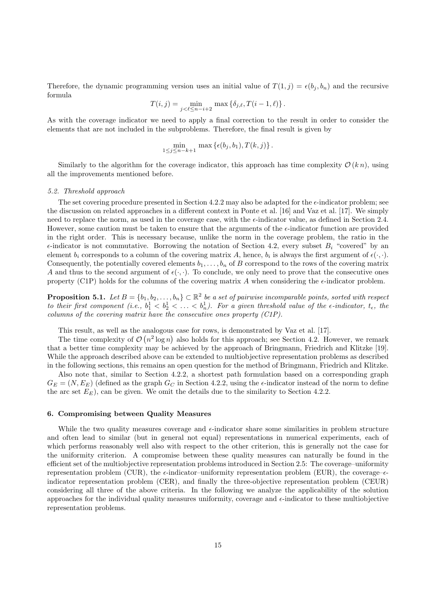Therefore, the dynamic programming version uses an initial value of  $T(1, j) = \epsilon(b_i, b_n)$  and the recursive formula

$$
T(i,j) = \min_{j < \ell \le n-i+2} \max \{ \delta_{j,\ell}, T(i-1,\ell) \}.
$$

As with the coverage indicator we need to apply a final correction to the result in order to consider the elements that are not included in the subproblems. Therefore, the final result is given by

$$
\min_{1 \leq j \leq n-k+1} \max \left\{ \epsilon(b_j, b_1), T(k, j) \right\}.
$$

Similarly to the algorithm for the coverage indicator, this approach has time complexity  $\mathcal{O}(k n)$ , using all the improvements mentioned before.

#### 5.2. Threshold approach

The set covering procedure presented in Section 4.2.2 may also be adapted for the  $\epsilon$ -indicator problem; see the discussion on related approaches in a different context in Ponte et al. [16] and Vaz et al. [17]. We simply need to replace the norm, as used in the coverage case, with the  $\epsilon$ -indicator value, as defined in Section 2.4. However, some caution must be taken to ensure that the arguments of the  $\epsilon$ -indicator function are provided in the right order. This is necessary because, unlike the norm in the coverage problem, the ratio in the  $\epsilon$ -indicator is not commutative. Borrowing the notation of Section 4.2, every subset  $B_i$  "covered" by an element  $b_i$  corresponds to a column of the covering matrix A, hence,  $b_i$  is always the first argument of  $\epsilon(\cdot, \cdot)$ . Consequently, the potentially covered elements  $b_1, \ldots, b_n$  of B correspond to the rows of the covering matrix A and thus to the second argument of  $\epsilon(\cdot, \cdot)$ . To conclude, we only need to prove that the consecutive ones property (C1P) holds for the columns of the covering matrix A when considering the  $\epsilon$ -indicator problem.

**Proposition 5.1.** Let  $B = \{b_1, b_2, \ldots, b_n\} \subset \mathbb{R}^2$  be a set of pairwise incomparable points, sorted with respect to their first component (i.e.,  $b_1^1 < b_2^1 < \ldots < b_n^1$ ). For a given threshold value of the  $\epsilon$ -indicator,  $t_{\epsilon}$ , the columns of the covering matrix have the consecutive ones property (C1P).

This result, as well as the analogous case for rows, is demonstrated by Vaz et al. [17].

The time complexity of  $\mathcal{O}(n^2 \log n)$  also holds for this approach; see Section 4.2. However, we remark that a better time complexity may be achieved by the approach of Bringmann, Friedrich and Klitzke [19]. While the approach described above can be extended to multiobjective representation problems as described in the following sections, this remains an open question for the method of Bringmann, Friedrich and Klitzke. Also note that, similar to Section 4.2.2, a shortest path formulation based on a corresponding graph

 $G_E = (N, E_E)$  (defined as the graph  $G_C$  in Section 4.2.2, using the  $\epsilon$ -indicator instead of the norm to define the arc set  $E<sub>E</sub>$ ), can be given. We omit the details due to the similarity to Section 4.2.2.

## 6. Compromising between Quality Measures

While the two quality measures coverage and  $\epsilon$ -indicator share some similarities in problem structure and often lead to similar (but in general not equal) representations in numerical experiments, each of which performs reasonably well also with respect to the other criterion, this is generally not the case for the uniformity criterion. A compromise between these quality measures can naturally be found in the efficient set of the multiobjective representation problems introduced in Section 2.5: The coverage–uniformity representation problem (CUR), the  $\epsilon$ -indicator–uniformity representation problem (EUR), the coverage– $\epsilon$ indicator representation problem (CER), and finally the three-objective representation problem (CEUR) considering all three of the above criteria. In the following we analyze the applicability of the solution approaches for the individual quality measures uniformity, coverage and  $\epsilon$ -indicator to these multiobjective representation problems.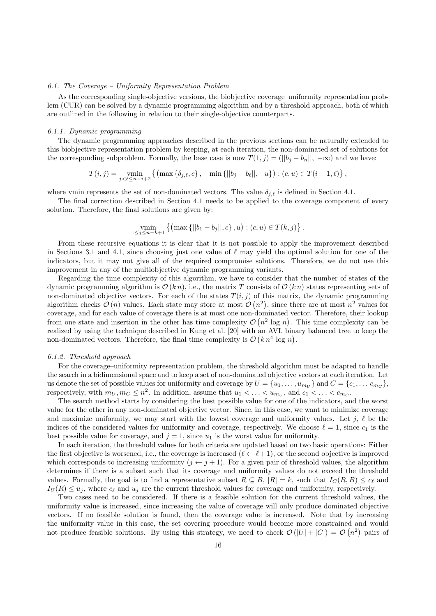## 6.1. The Coverage – Uniformity Representation Problem

As the corresponding single-objective versions, the biobjective coverage–uniformity representation problem (CUR) can be solved by a dynamic programming algorithm and by a threshold approach, both of which are outlined in the following in relation to their single-objective counterparts.

## 6.1.1. Dynamic programming

The dynamic programming approaches described in the previous sections can be naturally extended to this biobjective representation problem by keeping, at each iteration, the non-dominated set of solutions for the corresponding subproblem. Formally, the base case is now  $T(1, j) = (||b_j - b_n||, -\infty)$  and we have:

$$
T(i,j) = \min_{j < \ell \le n-i+2} \left\{ \left( \max \left\{ \delta_{j,\ell}, c \right\}, -\min \left\{ ||b_j - b_\ell||, -u \right\} \right) : (c, u) \in T(i-1, \ell) \right\},\
$$

where vmin represents the set of non-dominated vectors. The value  $\delta_{i,\ell}$  is defined in Section 4.1.

The final correction described in Section 4.1 needs to be applied to the coverage component of every solution. Therefore, the final solutions are given by:

$$
\min_{1 \le j \le n-k+1} \left\{ \left( \max \{ ||b_1 - b_j||, c \}, u \right) : (c, u) \in T(k, j) \right\}.
$$

From these recursive equations it is clear that it is not possible to apply the improvement described in Sections 3.1 and 4.1, since choosing just one value of  $\ell$  may yield the optimal solution for one of the indicators, but it may not give all of the required compromise solutions. Therefore, we do not use this improvement in any of the multiobjective dynamic programming variants.

Regarding the time complexity of this algorithm, we have to consider that the number of states of the dynamic programming algorithm is  $\mathcal{O}(k n)$ , i.e., the matrix T consists of  $\mathcal{O}(k n)$  states representing sets of non-dominated objective vectors. For each of the states  $T(i, j)$  of this matrix, the dynamic programming algorithm checks  $\mathcal{O}(n)$  values. Each state may store at most  $\mathcal{O}(n^2)$ , since there are at most  $n^2$  values for coverage, and for each value of coverage there is at most one non-dominated vector. Therefore, their lookup from one state and insertion in the other has time complexity  $\mathcal{O}(n^2 \log n)$ . This time complexity can be realized by using the technique described in Kung et al. [20] with an AVL binary balanced tree to keep the non-dominated vectors. Therefore, the final time complexity is  $\mathcal{O}(k n^4 \log n)$ .

#### 6.1.2. Threshold approach

For the coverage–uniformity representation problem, the threshold algorithm must be adapted to handle the search in a bidimensional space and to keep a set of non-dominated objective vectors at each iteration. Let us denote the set of possible values for uniformity and coverage by  $U = \{u_1, \ldots, u_{m_U}\}\$  and  $C = \{c_1, \ldots c_{m_C}\}\$ , respectively, with  $m_U, m_C \leq n^2$ . In addition, assume that  $u_1 < \ldots < u_{m_U}$ , and  $c_1 < \ldots < c_{m_C}$ .

The search method starts by considering the best possible value for one of the indicators, and the worst value for the other in any non-dominated objective vector. Since, in this case, we want to minimize coverage and maximize uniformity, we may start with the lowest coverage and uniformity values. Let  $j, \ell$  be the indices of the considered values for uniformity and coverage, respectively. We choose  $\ell = 1$ , since  $c_1$  is the best possible value for coverage, and  $j = 1$ , since  $u_1$  is the worst value for uniformity.

In each iteration, the threshold values for both criteria are updated based on two basic operations: Either the first objective is worsened, i.e., the coverage is increased  $(\ell \leftarrow \ell + 1)$ , or the second objective is improved which corresponds to increasing uniformity  $(j \leftarrow j + 1)$ . For a given pair of threshold values, the algorithm determines if there is a subset such that its coverage and uniformity values do not exceed the threshold values. Formally, the goal is to find a representative subset  $R \subseteq B$ ,  $|R| = k$ , such that  $I_C(R, B) \leq c_\ell$  and  $I_U(R) \leq u_j$ , where  $c_\ell$  and  $u_j$  are the current threshold values for coverage and uniformity, respectively.

Two cases need to be considered. If there is a feasible solution for the current threshold values, the uniformity value is increased, since increasing the value of coverage will only produce dominated objective vectors. If no feasible solution is found, then the coverage value is increased. Note that by increasing the uniformity value in this case, the set covering procedure would become more constrained and would not produce feasible solutions. By using this strategy, we need to check  $\mathcal{O}(|U|+|C|) = \mathcal{O}(n^2)$  pairs of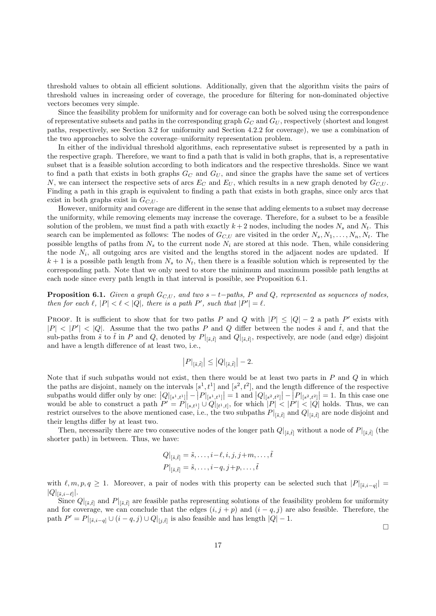threshold values to obtain all efficient solutions. Additionally, given that the algorithm visits the pairs of threshold values in increasing order of coverage, the procedure for filtering for non-dominated objective vectors becomes very simple.

Since the feasibility problem for uniformity and for coverage can both be solved using the correspondence of representative subsets and paths in the corresponding graph  $G_C$  and  $G_U$ , respectively (shortest and longest paths, respectively, see Section 3.2 for uniformity and Section 4.2.2 for coverage), we use a combination of the two approaches to solve the coverage–uniformity representation problem.

In either of the individual threshold algorithms, each representative subset is represented by a path in the respective graph. Therefore, we want to find a path that is valid in both graphs, that is, a representative subset that is a feasible solution according to both indicators and the respective thresholds. Since we want to find a path that exists in both graphs  $G_C$  and  $G_U$ , and since the graphs have the same set of vertices N, we can intersect the respective sets of arcs  $E_C$  and  $E_U$ , which results in a new graph denoted by  $G_{C,U}$ . Finding a path in this graph is equivalent to finding a path that exists in both graphs, since only arcs that exist in both graphs exist in  $G_{C,U}$ .

However, uniformity and coverage are different in the sense that adding elements to a subset may decrease the uniformity, while removing elements may increase the coverage. Therefore, for a subset to be a feasible solution of the problem, we must find a path with exactly  $k+2$  nodes, including the nodes  $N_s$  and  $N_t$ . This search can be implemented as follows: The nodes of  $G_{C,U}$  are visited in the order  $N_s, N_1, \ldots, N_n, N_t$ . The possible lengths of paths from  $N_s$  to the current node  $N_i$  are stored at this node. Then, while considering the node  $N_i$ , all outgoing arcs are visited and the lengths stored in the adjacent nodes are updated. If  $k + 1$  is a possible path length from  $N_s$  to  $N_t$ , then there is a feasible solution which is represented by the corresponding path. Note that we only need to store the minimum and maximum possible path lengths at each node since every path length in that interval is possible, see Proposition 6.1.

**Proposition 6.1.** Given a graph  $G_{C,U}$ , and two s – t–paths, P and Q, represented as sequences of nodes, then for each  $\ell, |P| < \ell < |Q|$ , there is a path P', such that  $|P'| = \ell$ .

PROOF. It is sufficient to show that for two paths P and Q with  $|P| \leq |Q| - 2$  a path P' exists with  $|P| < |P'| < |Q|$ . Assume that the two paths P and Q differ between the nodes  $\tilde{s}$  and  $\tilde{t}$ , and that the sub-paths from  $\tilde{s}$  to  $\tilde{t}$  in P and Q, denoted by  $P|_{\lbrack \tilde{s},\tilde{t}\rbrack}$  and  $Q|_{\lbrack \tilde{s},\tilde{t}\rbrack}$ , respectively, are node (and edge) disjoint and have a length difference of at least two, i.e.,

$$
\left|P|_{[\tilde{s},\tilde{t}]} \right| \leq \left|Q|_{[\tilde{s},\tilde{t}]} \right| - 2.
$$

Note that if such subpaths would not exist, then there would be at least two parts in  $P$  and  $Q$  in which the paths are disjoint, namely on the intervals  $[s^1, t^1]$  and  $[s^2, t^2]$ , and the length difference of the respective subpaths would differ only by one:  $|Q|_{[s^1,t^1]}| - |P|_{[s^1,t^1]}| = 1$  and  $|Q|_{[s^2,t^2]}| - |P|_{[s^2,t^2]}| = 1$ . In this case one would be able to construct a path  $P' = P|_{[s,t^1]} \cup Q|_{[t^1,t]}$ , for which  $|P| < |P'| < |Q|$  holds. Thus, restrict ourselves to the above mentioned case, i.e., the two subpaths  $P|_{[\tilde{s},\tilde{t}]}$  and  $Q|_{[\tilde{s},\tilde{t}]}$  are node disjoint and their lengths differ by at least two.

Then, necessarily there are two consecutive nodes of the longer path  $Q|_{[\tilde{s},\tilde{t}]}$  without a node of  $P|_{[\tilde{s},\tilde{t}]}$  (the shorter path) in between. Thus, we have:

$$
Q|_{[\tilde{s}, \tilde{t}]} = \tilde{s}, \dots, i - \ell, i, j, j + m, \dots, \tilde{t}
$$

$$
P|_{[\tilde{s}, \tilde{t}]} = \tilde{s}, \dots, i - q, j + p, \dots, \tilde{t}
$$

with  $\ell, m, p, q \geq 1$ . Moreover, a pair of nodes with this property can be selected such that  $|P|_{[\tilde{s},i-q]}|$  $|Q|_{\left[\tilde{s},i-\ell\right]}|.$ 

Since  $Q|_{\lbrack \tilde{s},\tilde{t}\rbrack}$  and  $P|_{\lbrack \tilde{s},\tilde{t}\rbrack}$  are feasible paths representing solutions of the feasibility problem for uniformity and for coverage, we can conclude that the edges  $(i, j + p)$  and  $(i - q, j)$  are also feasible. Therefore, the path  $P' = P|_{[\tilde{s}, i-q]} \cup (i-q, j) \cup Q|_{[j, \tilde{t}]}$  is also feasible and has length  $|Q| - 1$ .

 $\Box$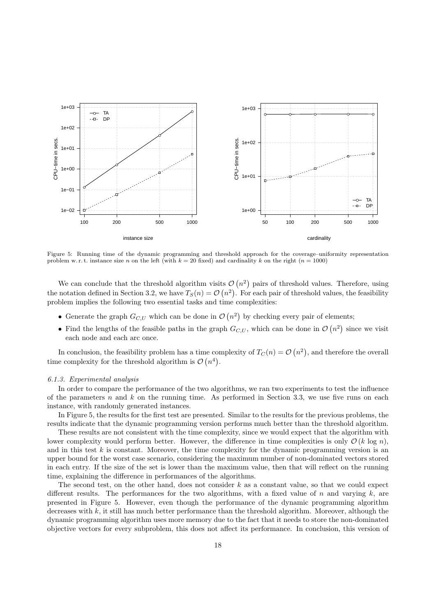

Figure 5: Running time of the dynamic programming and threshold approach for the coverage–uniformity representation problem w.r.t. instance size n on the left (with  $k = 20$  fixed) and cardinality k on the right ( $n = 1000$ )

We can conclude that the threshold algorithm visits  $\mathcal{O}(n^2)$  pairs of threshold values. Therefore, using the notation defined in Section 3.2, we have  $T_S(n) = \mathcal{O}(n^2)$ . For each pair of threshold values, the feasibility problem implies the following two essential tasks and time complexities:

- Generate the graph  $G_{C,U}$  which can be done in  $\mathcal{O}(n^2)$  by checking every pair of elements;
- Find the lengths of the feasible paths in the graph  $G_{C,U}$ , which can be done in  $\mathcal{O}(n^2)$  since we visit each node and each arc once.

In conclusion, the feasibility problem has a time complexity of  $T_C(n) = \mathcal{O}(n^2)$ , and therefore the overall time complexity for the threshold algorithm is  $\mathcal{O}(n^4)$ .

## 6.1.3. Experimental analysis

In order to compare the performance of the two algorithms, we ran two experiments to test the influence of the parameters n and k on the running time. As performed in Section 3.3, we use five runs on each instance, with randomly generated instances.

In Figure 5, the results for the first test are presented. Similar to the results for the previous problems, the results indicate that the dynamic programming version performs much better than the threshold algorithm.

These results are not consistent with the time complexity, since we would expect that the algorithm with lower complexity would perform better. However, the difference in time complexities is only  $\mathcal{O}(k \log n)$ , and in this test  $k$  is constant. Moreover, the time complexity for the dynamic programming version is an upper bound for the worst case scenario, considering the maximum number of non-dominated vectors stored in each entry. If the size of the set is lower than the maximum value, then that will reflect on the running time, explaining the difference in performances of the algorithms.

The second test, on the other hand, does not consider  $k$  as a constant value, so that we could expect different results. The performances for the two algorithms, with a fixed value of n and varying  $k$ , are presented in Figure 5. However, even though the performance of the dynamic programming algorithm decreases with  $k$ , it still has much better performance than the threshold algorithm. Moreover, although the dynamic programming algorithm uses more memory due to the fact that it needs to store the non-dominated objective vectors for every subproblem, this does not affect its performance. In conclusion, this version of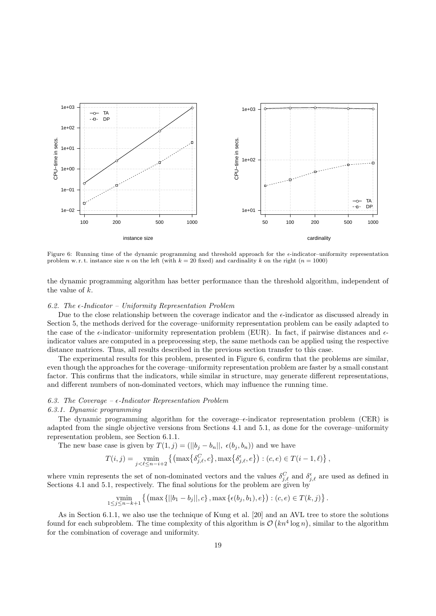

Figure 6: Running time of the dynamic programming and threshold approach for the  $\epsilon$ -indicator–uniformity representation problem w.r.t. instance size n on the left (with  $k = 20$  fixed) and cardinality k on the right ( $n = 1000$ )

the dynamic programming algorithm has better performance than the threshold algorithm, independent of the value of k.

## 6.2. The  $\epsilon$ -Indicator – Uniformity Representation Problem

Due to the close relationship between the coverage indicator and the  $\epsilon$ -indicator as discussed already in Section 5, the methods derived for the coverage–uniformity representation problem can be easily adapted to the case of the  $\epsilon$ -indicator–uniformity representation problem (EUR). In fact, if pairwise distances and  $\epsilon$ indicator values are computed in a preprocessing step, the same methods can be applied using the respective distance matrices. Thus, all results described in the previous section transfer to this case.

The experimental results for this problem, presented in Figure 6, confirm that the problems are similar, even though the approaches for the coverage–uniformity representation problem are faster by a small constant factor. This confirms that the indicators, while similar in structure, may generate different representations, and different numbers of non-dominated vectors, which may influence the running time.

## 6.3. The Coverage  $-\epsilon$ -Indicator Representation Problem

#### 6.3.1. Dynamic programming

The dynamic programming algorithm for the coverage– $\epsilon$ -indicator representation problem (CER) is adapted from the single objective versions from Sections 4.1 and 5.1, as done for the coverage–uniformity representation problem, see Section 6.1.1.

The new base case is given by  $T(1, j) = (||b_j - b_n||, \epsilon(b_j, b_n))$  and we have

$$
T(i,j) = \min_{j < \ell \leq n-i+2} \left\{ \left( \max \left\{ \delta_{j,\ell}^C, c \right\}, \max \left\{ \delta_{j,\ell}^{\epsilon}, e \right\} \right) : (c, e) \in T(i-1, \ell) \right\},\
$$

where vmin represents the set of non-dominated vectors and the values  $\delta_{j,\ell}^C$  and  $\delta_{j,\ell}^{\epsilon}$  are used as defined in Sections 4.1 and 5.1, respectively. The final solutions for the problem are given by

$$
\min_{1 \le j \le n-k+1} \left\{ \left( \max\left\{ ||b_1 - b_j||, c \right\}, \max\left\{ \epsilon(b_j, b_1), e \right\} \right) : (c, e) \in T(k, j) \right\}.
$$

As in Section 6.1.1, we also use the technique of Kung et al. [20] and an AVL tree to store the solutions found for each subproblem. The time complexity of this algorithm is  $\mathcal{O}(kn^4 \log n)$ , similar to the algorithm for the combination of coverage and uniformity.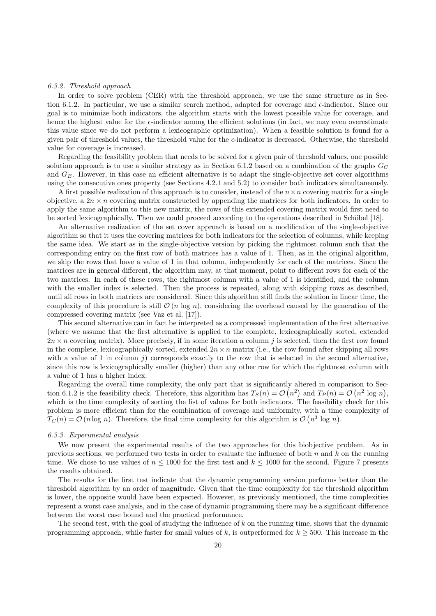#### 6.3.2. Threshold approach

In order to solve problem (CER) with the threshold approach, we use the same structure as in Section 6.1.2. In particular, we use a similar search method, adapted for coverage and  $\epsilon$ -indicator. Since our goal is to minimize both indicators, the algorithm starts with the lowest possible value for coverage, and hence the highest value for the  $\epsilon$ -indicator among the efficient solutions (in fact, we may even overestimate this value since we do not perform a lexicographic optimization). When a feasible solution is found for a given pair of threshold values, the threshold value for the  $\epsilon$ -indicator is decreased. Otherwise, the threshold value for coverage is increased.

Regarding the feasibility problem that needs to be solved for a given pair of threshold values, one possible solution approach is to use a similar strategy as in Section 6.1.2 based on a combination of the graphs  $G_C$ and  $G_E$ . However, in this case an efficient alternative is to adapt the single-objective set cover algorithms using the consecutive ones property (see Sections 4.2.1 and 5.2) to consider both indicators simultaneously.

A first possible realization of this approach is to consider, instead of the  $n \times n$  covering matrix for a single objective, a  $2n \times n$  covering matrix constructed by appending the matrices for both indicators. In order to apply the same algorithm to this new matrix, the rows of this extended covering matrix would first need to be sorted lexicographically. Then we could proceed according to the operations described in Schöbel [18].

An alternative realization of the set cover approach is based on a modification of the single-objective algorithm so that it uses the covering matrices for both indicators for the selection of columns, while keeping the same idea. We start as in the single-objective version by picking the rightmost column such that the corresponding entry on the first row of both matrices has a value of 1. Then, as in the original algorithm, we skip the rows that have a value of 1 in that column, independently for each of the matrices. Since the matrices are in general different, the algorithm may, at that moment, point to different rows for each of the two matrices. In each of these rows, the rightmost column with a value of 1 is identified, and the column with the smaller index is selected. Then the process is repeated, along with skipping rows as described, until all rows in both matrices are considered. Since this algorithm still finds the solution in linear time, the complexity of this procedure is still  $\mathcal{O}(n \log n)$ , considering the overhead caused by the generation of the compressed covering matrix (see Vaz et al. [17]).

This second alternative can in fact be interpreted as a compressed implementation of the first alternative (where we assume that the first alternative is applied to the complete, lexicographically sorted, extended  $2n \times n$  covering matrix). More precisely, if in some iteration a column j is selected, then the first row found in the complete, lexicographically sorted, extended  $2n \times n$  matrix (i.e., the row found after skipping all rows with a value of 1 in column  $j$ ) corresponds exactly to the row that is selected in the second alternative, since this row is lexicographically smaller (higher) than any other row for which the rightmost column with a value of 1 has a higher index.

Regarding the overall time complexity, the only part that is significantly altered in comparison to Section 6.1.2 is the feasibility check. Therefore, this algorithm has  $T_S(n) = \mathcal{O}(n^2)$  and  $T_P(n) = \mathcal{O}(n^2 \log n)$ , which is the time complexity of sorting the list of values for both indicators. The feasibility check for this problem is more efficient than for the combination of coverage and uniformity, with a time complexity of  $T_C(n) = \mathcal{O}(n \log n)$ . Therefore, the final time complexity for this algorithm is  $\mathcal{O}(n^3 \log n)$ .

## 6.3.3. Experimental analysis

We now present the experimental results of the two approaches for this biobjective problem. As in previous sections, we performed two tests in order to evaluate the influence of both  $n$  and  $k$  on the running time. We chose to use values of  $n \le 1000$  for the first test and  $k \le 1000$  for the second. Figure 7 presents the results obtained.

The results for the first test indicate that the dynamic programming version performs better than the threshold algorithm by an order of magnitude. Given that the time complexity for the threshold algorithm is lower, the opposite would have been expected. However, as previously mentioned, the time complexities represent a worst case analysis, and in the case of dynamic programming there may be a significant difference between the worst case bound and the practical performance.

The second test, with the goal of studying the influence of k on the running time, shows that the dynamic programming approach, while faster for small values of k, is outperformed for  $k \geq 500$ . This increase in the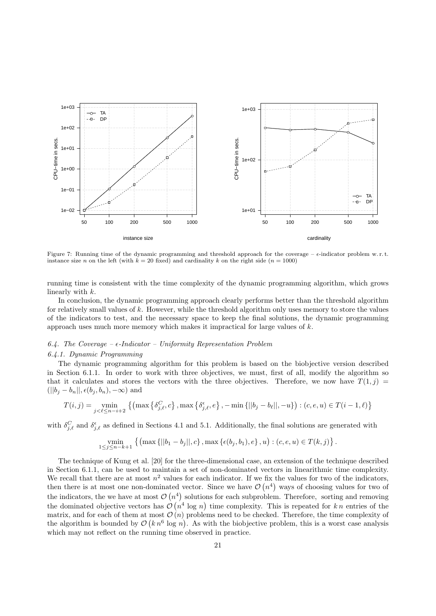

Figure 7: Running time of the dynamic programming and threshold approach for the coverage –  $\epsilon$ -indicator problem w.r.t. instance size n on the left (with  $k = 20$  fixed) and cardinality k on the right side ( $n = 1000$ )

running time is consistent with the time complexity of the dynamic programming algorithm, which grows linearly with k.

In conclusion, the dynamic programming approach clearly performs better than the threshold algorithm for relatively small values of  $k$ . However, while the threshold algorithm only uses memory to store the values of the indicators to test, and the necessary space to keep the final solutions, the dynamic programming approach uses much more memory which makes it impractical for large values of  $k$ .

## 6.4. The Coverage –  $\epsilon$ -Indicator – Uniformity Representation Problem

## 6.4.1. Dynamic Programming

The dynamic programming algorithm for this problem is based on the biobjective version described in Section 6.1.1. In order to work with three objectives, we must, first of all, modify the algorithm so that it calculates and stores the vectors with the three objectives. Therefore, we now have  $T(1, j)$  =  $(||b_i - b_n||, \epsilon(b_i, b_n), -\infty)$  and

$$
T(i,j) = \min_{j < \ell \le n-i+2} \left\{ \left( \max \left\{ \delta_{j,\ell}^C, c \right\}, \max \left\{ \delta_{j,\ell}^{\epsilon}, e \right\}, -\min \left\{ ||b_j - b_\ell||, -u \right\} \right) : (c, e, u) \in T(i-1,\ell) \right\}
$$

with  $\delta_{j,\ell}^C$  and  $\delta_{j,\ell}^{\epsilon}$  as defined in Sections 4.1 and 5.1. Additionally, the final solutions are generated with

$$
\min_{1 \leq j \leq n-k+1} \left\{ \left( \max \left\{ ||b_1 - b_j||, c \right\}, \max \left\{ \epsilon(b_j, b_1), e \right\}, u \right) : (c, e, u) \in T(k, j) \right\}.
$$

The technique of Kung et al. [20] for the three-dimensional case, an extension of the technique described in Section 6.1.1, can be used to maintain a set of non-dominated vectors in linearithmic time complexity. We recall that there are at most  $n^2$  values for each indicator. If we fix the values for two of the indicators, then there is at most one non-dominated vector. Since we have  $\mathcal{O}(n^4)$  ways of choosing values for two of the indicators, the we have at most  $\mathcal{O}(n^4)$  solutions for each subproblem. Therefore, sorting and removing the dominated objective vectors has  $\mathcal{O}(n^4 \log n)$  time complexity. This is repeated for k n entries of the matrix, and for each of them at most  $\mathcal{O}(n)$  problems need to be checked. Therefore, the time complexity of the algorithm is bounded by  $\mathcal{O}(kn^6 \log n)$ . As with the biobjective problem, this is a worst case analysis which may not reflect on the running time observed in practice.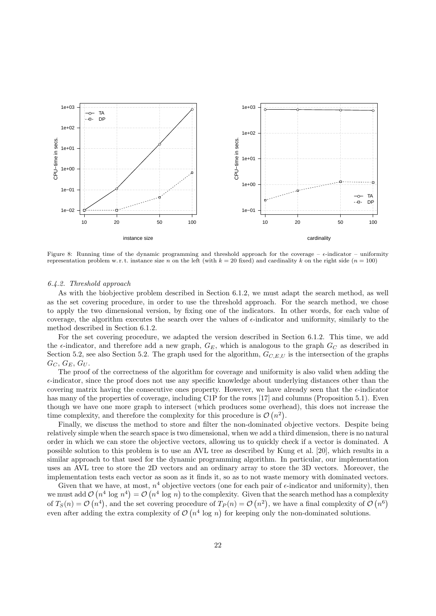

Figure 8: Running time of the dynamic programming and threshold approach for the coverage –  $\epsilon$ -indicator – uniformity representation problem w.r.t. instance size n on the left (with  $k = 20$  fixed) and cardinality k on the right side ( $n = 100$ )

## 6.4.2. Threshold approach

As with the biobjective problem described in Section 6.1.2, we must adapt the search method, as well as the set covering procedure, in order to use the threshold approach. For the search method, we chose to apply the two dimensional version, by fixing one of the indicators. In other words, for each value of coverage, the algorithm executes the search over the values of  $\epsilon$ -indicator and uniformity, similarly to the method described in Section 6.1.2.

For the set covering procedure, we adapted the version described in Section 6.1.2. This time, we add the  $\epsilon$ -indicator, and therefore add a new graph,  $G_E$ , which is analogous to the graph  $G_C$  as described in Section 5.2, see also Section 5.2. The graph used for the algorithm,  $G_{C,E,U}$  is the intersection of the graphs  $G_C, G_E, G_U$ .

The proof of the correctness of the algorithm for coverage and uniformity is also valid when adding the  $\epsilon$ -indicator, since the proof does not use any specific knowledge about underlying distances other than the covering matrix having the consecutive ones property. However, we have already seen that the  $\epsilon$ -indicator has many of the properties of coverage, including C1P for the rows [17] and columns (Proposition 5.1). Even though we have one more graph to intersect (which produces some overhead), this does not increase the time complexity, and therefore the complexity for this procedure is  $\mathcal{O}(n^2)$ .

Finally, we discuss the method to store and filter the non-dominated objective vectors. Despite being relatively simple when the search space is two dimensional, when we add a third dimension, there is no natural order in which we can store the objective vectors, allowing us to quickly check if a vector is dominated. A possible solution to this problem is to use an AVL tree as described by Kung et al. [20], which results in a similar approach to that used for the dynamic programming algorithm. In particular, our implementation uses an AVL tree to store the 2D vectors and an ordinary array to store the 3D vectors. Moreover, the implementation tests each vector as soon as it finds it, so as to not waste memory with dominated vectors.

Given that we have, at most,  $n^4$  objective vectors (one for each pair of  $\epsilon$ -indicator and uniformity), then we must add  $\mathcal{O}(n^4 \log n^4) = \mathcal{O}(n^4 \log n)$  to the complexity. Given that the search method has a complexity of  $T_S(n) = \mathcal{O}(n^4)$ , and the set covering procedure of  $T_P(n) = \mathcal{O}(n^2)$ , we have a final complexity of  $\mathcal{O}(n^6)$ even after adding the extra complexity of  $\mathcal{O}(n^4 \log n)$  for keeping only the non-dominated solutions.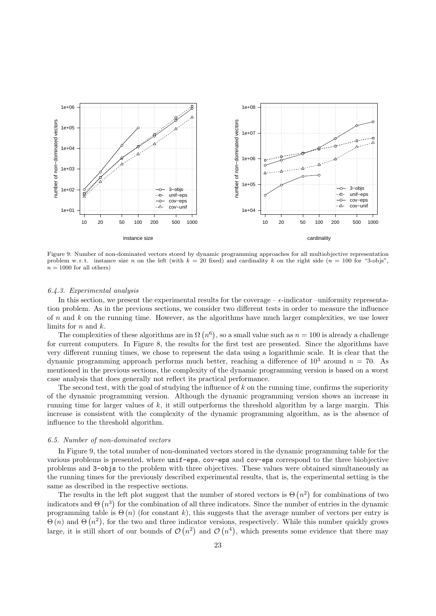

Figure 9: Number of non-dominated vectors stored by dynamic programming approaches for all multiobjective representation problem w.r.t. instance size n on the left (with  $k = 20$  fixed) and cardinality k on the right side (n = 100 for "3-objs",  $n = 1000$  for all others)

#### 6.4.3. Experimental analysis

In this section, we present the experimental results for the coverage –  $\epsilon$ -indicator –uniformity representation problem. As in the previous sections, we consider two different tests in order to measure the influence of n and k on the running time. However, as the algorithms have much larger complexities, we use lower limits for  $n$  and  $k$ .

The complexities of these algorithms are in  $\Omega(n^6)$ , so a small value such as  $n = 100$  is already a challenge for current computers. In Figure 8, the results for the first test are presented. Since the algorithms have very different running times, we chose to represent the data using a logarithmic scale. It is clear that the dynamic programming approach performs much better, reaching a difference of  $10^3$  around  $n = 70$ . As mentioned in the previous sections, the complexity of the dynamic programming version is based on a worst case analysis that does generally not reflect its practical performance.

The second test, with the goal of studying the influence of  $k$  on the running time, confirms the superiority of the dynamic programming version. Although the dynamic programming version shows an increase in running time for larger values of k, it still outperforms the threshold algorithm by a large margin. This increase is consistent with the complexity of the dynamic programming algorithm, as is the absence of influence to the threshold algorithm.

#### 6.5. Number of non-dominated vectors

In Figure 9, the total number of non-dominated vectors stored in the dynamic programming table for the various problems is presented, where unif-eps, cov-eps and cov-eps correspond to the three biobjective problems and 3-objs to the problem with three objectives. These values were obtained simultaneously as the running times for the previously described experimental results, that is, the experimental setting is the same as described in the respective sections.

The results in the left plot suggest that the number of stored vectors is  $\Theta(n^2)$  for combinations of two indicators and  $\Theta(n^3)$  for the combination of all three indicators. Since the number of entries in the dynamic programming table is  $\Theta(n)$  (for constant k), this suggests that the average number of vectors per entry is  $\Theta(n)$  and  $\Theta(n^2)$ , for the two and three indicator versions, respectively. While this number quickly grows large, it is still short of our bounds of  $\mathcal{O}(n^2)$  and  $\mathcal{O}(n^4)$ , which presents some evidence that there may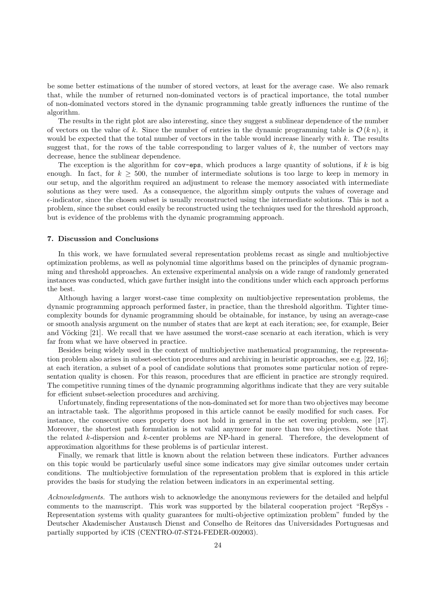be some better estimations of the number of stored vectors, at least for the average case. We also remark that, while the number of returned non-dominated vectors is of practical importance, the total number of non-dominated vectors stored in the dynamic programming table greatly influences the runtime of the algorithm.

The results in the right plot are also interesting, since they suggest a sublinear dependence of the number of vectors on the value of k. Since the number of entries in the dynamic programming table is  $\mathcal{O}(k n)$ , it would be expected that the total number of vectors in the table would increase linearly with k. The results suggest that, for the rows of the table corresponding to larger values of  $k$ , the number of vectors may decrease, hence the sublinear dependence.

The exception is the algorithm for  $cov$ -eps, which produces a large quantity of solutions, if k is big enough. In fact, for  $k \geq 500$ , the number of intermediate solutions is too large to keep in memory in our setup, and the algorithm required an adjustment to release the memory associated with intermediate solutions as they were used. As a consequence, the algorithm simply outputs the values of coverage and  $\epsilon$ -indicator, since the chosen subset is usually reconstructed using the intermediate solutions. This is not a problem, since the subset could easily be reconstructed using the techniques used for the threshold approach, but is evidence of the problems with the dynamic programming approach.

## 7. Discussion and Conclusions

In this work, we have formulated several representation problems recast as single and multiobjective optimization problems, as well as polynomial time algorithms based on the principles of dynamic programming and threshold approaches. An extensive experimental analysis on a wide range of randomly generated instances was conducted, which gave further insight into the conditions under which each approach performs the best.

Although having a larger worst-case time complexity on multiobjective representation problems, the dynamic programming approach performed faster, in practice, than the threshold algorithm. Tighter timecomplexity bounds for dynamic programming should be obtainable, for instance, by using an average-case or smooth analysis argument on the number of states that are kept at each iteration; see, for example, Beier and Vöcking [21]. We recall that we have assumed the worst-case scenario at each iteration, which is very far from what we have observed in practice.

Besides being widely used in the context of multiobjective mathematical programming, the representation problem also arises in subset-selection procedures and archiving in heuristic approaches, see e.g. [22, 16]; at each iteration, a subset of a pool of candidate solutions that promotes some particular notion of representation quality is chosen. For this reason, procedures that are efficient in practice are strongly required. The competitive running times of the dynamic programming algorithms indicate that they are very suitable for efficient subset-selection procedures and archiving.

Unfortunately, finding representations of the non-dominated set for more than two objectives may become an intractable task. The algorithms proposed in this article cannot be easily modified for such cases. For instance, the consecutive ones property does not hold in general in the set covering problem, see [17]. Moreover, the shortest path formulation is not valid anymore for more than two objectives. Note that the related k-dispersion and k-center problems are NP-hard in general. Therefore, the development of approximation algorithms for these problems is of particular interest.

Finally, we remark that little is known about the relation between these indicators. Further advances on this topic would be particularly useful since some indicators may give similar outcomes under certain conditions. The multiobjective formulation of the representation problem that is explored in this article provides the basis for studying the relation between indicators in an experimental setting.

Acknowledgments. The authors wish to acknowledge the anonymous reviewers for the detailed and helpful comments to the manuscript. This work was supported by the bilateral cooperation project "RepSys - Representation systems with quality guarantees for multi-objective optimization problem" funded by the Deutscher Akademischer Austausch Dienst and Conselho de Reitores das Universidades Portuguesas and partially supported by iCIS (CENTRO-07-ST24-FEDER-002003).